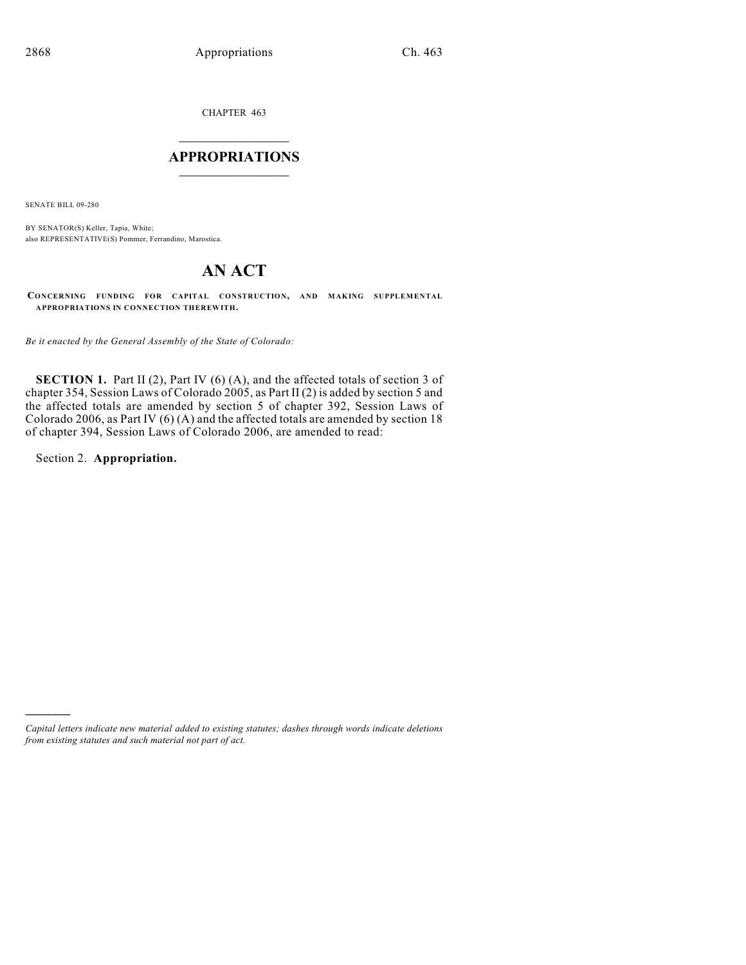CHAPTER 463

# $\overline{\phantom{a}}$  . The set of the set of the set of the set of the set of the set of the set of the set of the set of the set of the set of the set of the set of the set of the set of the set of the set of the set of the set o **APPROPRIATIONS**  $\_$   $\_$   $\_$   $\_$   $\_$   $\_$   $\_$   $\_$

SENATE BILL 09-280

BY SENATOR(S) Keller, Tapia, White; also REPRESENTATIVE(S) Pommer, Ferrandino, Marostica.

# **AN ACT**

**CONCERNING FUNDING FOR CAPITAL CONSTRUCTION, AND MAKING SUPPLEMENTAL APPROPRIATIONS IN CONNECTION THEREWITH.**

*Be it enacted by the General Assembly of the State of Colorado:*

**SECTION 1.** Part II (2), Part IV (6) (A), and the affected totals of section 3 of chapter 354, Session Laws of Colorado 2005, as Part II (2) is added by section 5 and the affected totals are amended by section 5 of chapter 392, Session Laws of Colorado 2006, as Part IV (6) (A) and the affected totals are amended by section 18 of chapter 394, Session Laws of Colorado 2006, are amended to read:

Section 2. **Appropriation.**

)))))

*Capital letters indicate new material added to existing statutes; dashes through words indicate deletions from existing statutes and such material not part of act.*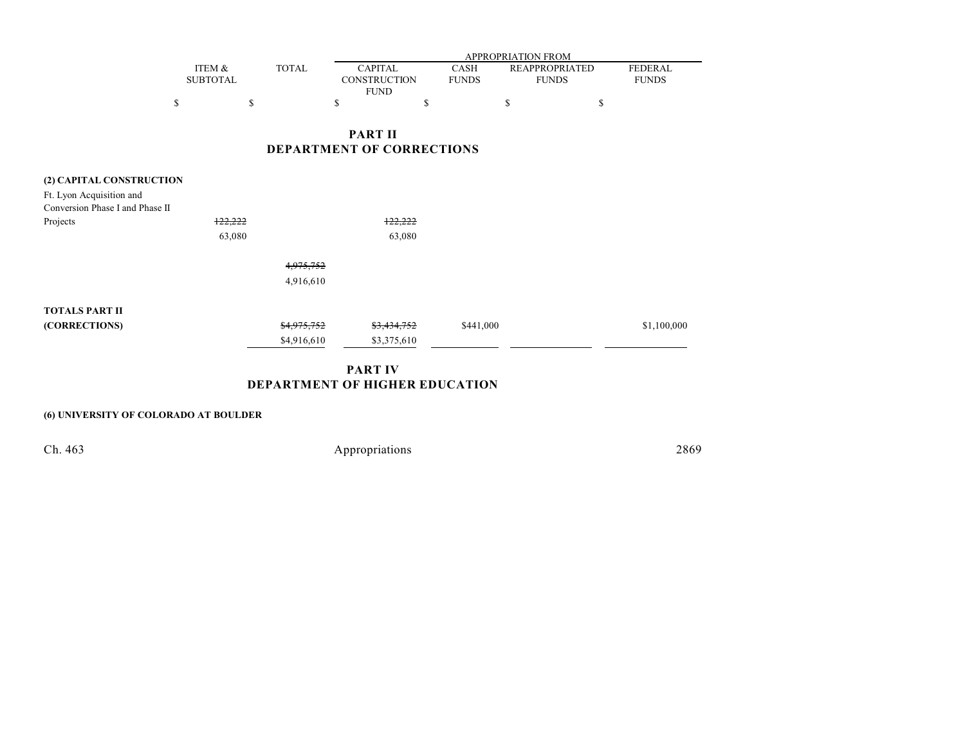|          |              | APPROPRIATION FROM |              |                       |                |  |  |  |
|----------|--------------|--------------------|--------------|-----------------------|----------------|--|--|--|
| ITEM &   | <b>TOTAL</b> | CAPITAL.           | CASH         | <b>REAPPROPRIATED</b> | <b>FEDERAL</b> |  |  |  |
| SUBTOTAL |              | CONSTRUCTION       | <b>FUNDS</b> | <b>FUNDS</b>          | <b>FUNDS</b>   |  |  |  |
|          |              | <b>FUND</b>        |              |                       |                |  |  |  |
|          |              |                    |              |                       |                |  |  |  |

## **PART II DEPARTMENT OF CORRECTIONS**

# **(2) CAPITAL CONSTRUCTION** Ft. Lyon Acquisition and Conversion Phase I and Phase II Projects  $\frac{122,222}{2}$  122,222 63,080 63,080 4,975,752 4,916,610 **TOTALS PART II (CORRECTIONS)** \$4,975,752 \$3,434,752 \$441,000 \$1,100,000 \$1,100,000 \$4,916,610 \$3,375,610

## **PART IV DEPARTMENT OF HIGHER EDUCATION**

### **(6) UNIVERSITY OF COLORADO AT BOULDER**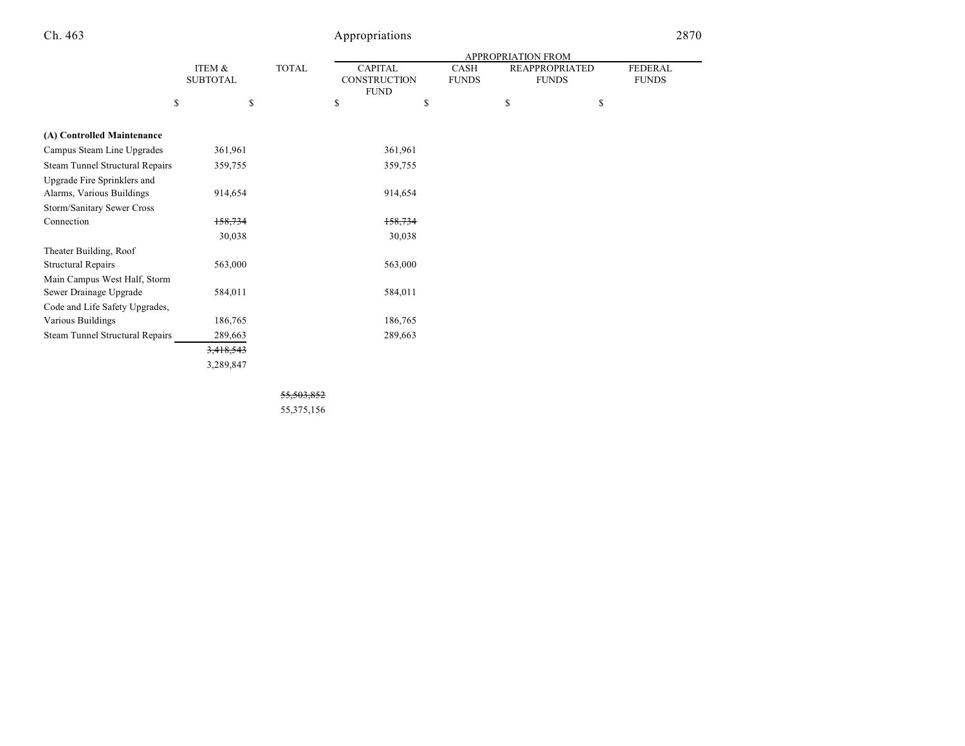|                                 |                 |              | APPROPRIATION FROM  |              |                       |                |  |
|---------------------------------|-----------------|--------------|---------------------|--------------|-----------------------|----------------|--|
|                                 | ITEM &          | <b>TOTAL</b> | <b>CAPITAL</b>      | CASH         | <b>REAPPROPRIATED</b> | <b>FEDERAL</b> |  |
|                                 | <b>SUBTOTAL</b> |              | <b>CONSTRUCTION</b> | <b>FUNDS</b> | <b>FUNDS</b>          | <b>FUNDS</b>   |  |
|                                 |                 |              | <b>FUND</b>         |              |                       |                |  |
| \$                              | \$              |              | \$                  | \$           | \$                    | \$             |  |
|                                 |                 |              |                     |              |                       |                |  |
| (A) Controlled Maintenance      |                 |              |                     |              |                       |                |  |
| Campus Steam Line Upgrades      | 361,961         |              | 361,961             |              |                       |                |  |
| Steam Tunnel Structural Repairs | 359,755         |              | 359,755             |              |                       |                |  |
| Upgrade Fire Sprinklers and     |                 |              |                     |              |                       |                |  |
| Alarms, Various Buildings       | 914,654         |              | 914,654             |              |                       |                |  |
| Storm/Sanitary Sewer Cross      |                 |              |                     |              |                       |                |  |
| Connection                      | 158,734         |              | 158,734             |              |                       |                |  |
|                                 | 30,038          |              | 30,038              |              |                       |                |  |
| Theater Building, Roof          |                 |              |                     |              |                       |                |  |
| Structural Repairs              | 563,000         |              | 563,000             |              |                       |                |  |
| Main Campus West Half, Storm    |                 |              |                     |              |                       |                |  |
| Sewer Drainage Upgrade          | 584,011         |              | 584,011             |              |                       |                |  |
| Code and Life Safety Upgrades,  |                 |              |                     |              |                       |                |  |
| Various Buildings               | 186,765         |              | 186,765             |              |                       |                |  |
| Steam Tunnel Structural Repairs | 289,663         |              | 289,663             |              |                       |                |  |
|                                 | 3,418,543       |              |                     |              |                       |                |  |
|                                 | 3,289,847       |              |                     |              |                       |                |  |

55,503,852

55,375,156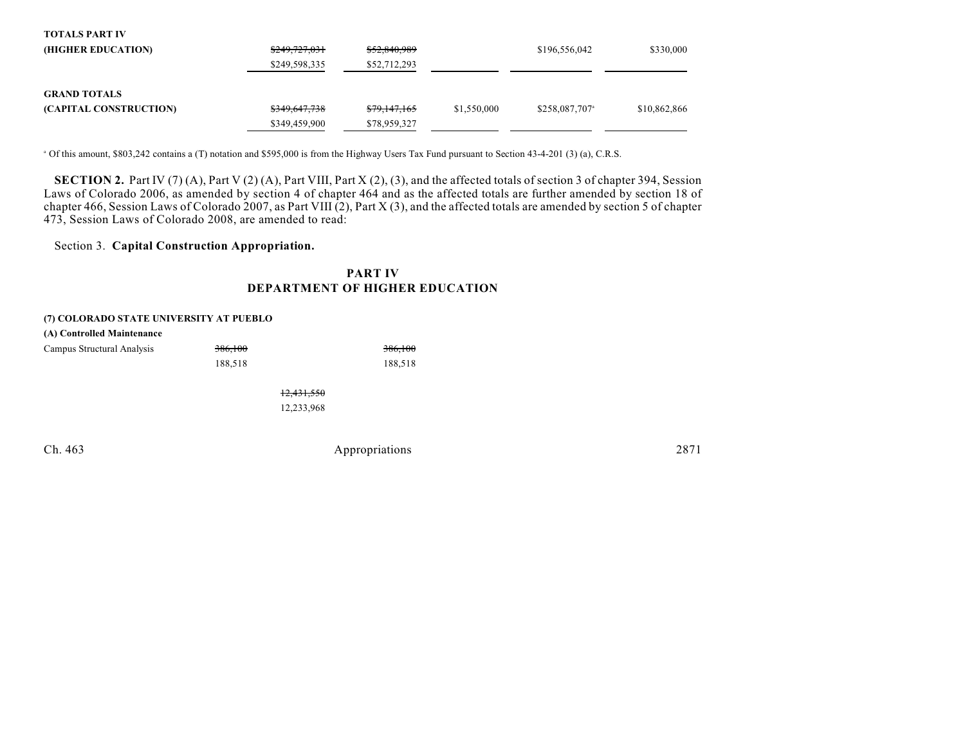| <b>TOTALS PART IV</b>  |               |                         |             |                            |              |
|------------------------|---------------|-------------------------|-------------|----------------------------|--------------|
| (HIGHER EDUCATION)     | \$249,727,031 | \$52,840,989            |             | \$196,556,042              | \$330,000    |
|                        | \$249,598,335 | \$52,712,293            |             |                            |              |
| <b>GRAND TOTALS</b>    |               |                         |             |                            |              |
| (CAPITAL CONSTRUCTION) | \$349,647,738 | <del>\$79,147,165</del> | \$1,550,000 | \$258,087,707 <sup>a</sup> | \$10,862,866 |
|                        | \$349,459,900 | \$78,959,327            |             |                            |              |

<sup>a</sup> Of this amount, \$803,242 contains a (T) notation and \$595,000 is from the Highway Users Tax Fund pursuant to Section 43-4-201 (3) (a), C.R.S.

**SECTION 2.** Part IV (7) (A), Part V (2) (A), Part VIII, Part X (2), (3), and the affected totals of section 3 of chapter 394, Session Laws of Colorado 2006, as amended by section 4 of chapter 464 and as the affected totals are further amended by section 18 of chapter 466, Session Laws of Colorado 2007, as Part VIII (2), Part X (3), and the affected totals are amended by section 5 of chapter 473, Session Laws of Colorado 2008, are amended to read:

## Section 3. **Capital Construction Appropriation.**

## **PART IV DEPARTMENT OF HIGHER EDUCATION**

#### **(7) COLORADO STATE UNIVERSITY AT PUEBLO**

| (A) Controlled Maintenance |                |         |
|----------------------------|----------------|---------|
| Campus Structural Analysis | 386,100        | 386,100 |
|                            | 188.518        | 188,518 |
|                            | $10.121$ $550$ |         |

12,431,550 12,233,968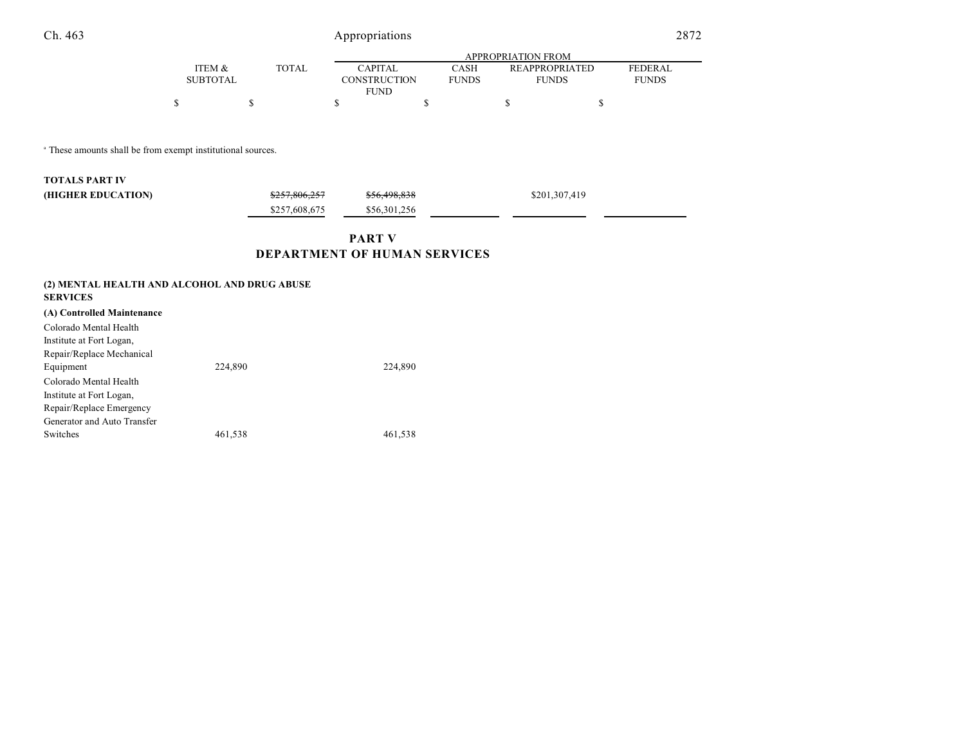|                   |             |  | APPROPRIATION FROM |              |                       |                |  |  |  |
|-------------------|-------------|--|--------------------|--------------|-----------------------|----------------|--|--|--|
| <b>ITEM &amp;</b> | TOTAL       |  | <b>CAPITAL</b>     | CASH         | <b>REAPPROPRIATED</b> | <b>FEDERAL</b> |  |  |  |
| <b>SUBTOTAL</b>   |             |  | CONSTRUCTION       | <b>FUNDS</b> | <b>FUNDS</b>          | <b>FUNDS</b>   |  |  |  |
|                   | <b>FUND</b> |  |                    |              |                       |                |  |  |  |
|                   |             |  |                    |              |                       |                |  |  |  |

 $^{\circ}$  These amounts shall be from exempt institutional sources.

| <b>TOTALS PART IV</b> |               |                         |               |
|-----------------------|---------------|-------------------------|---------------|
| (HIGHER EDUCATION)    | \$257.806.257 | <del>\$56,498,838</del> | \$201,307,419 |
|                       | \$257,608,675 | \$56,301,256            |               |

# **PART V DEPARTMENT OF HUMAN SERVICES**

| (2) MENTAL HEALTH AND ALCOHOL AND DRUG ABUSE<br><b>SERVICES</b> |         |         |
|-----------------------------------------------------------------|---------|---------|
| (A) Controlled Maintenance                                      |         |         |
| Colorado Mental Health                                          |         |         |
| Institute at Fort Logan,                                        |         |         |
| Repair/Replace Mechanical                                       |         |         |
| Equipment                                                       | 224,890 | 224,890 |
| Colorado Mental Health                                          |         |         |
| Institute at Fort Logan,                                        |         |         |
| Repair/Replace Emergency                                        |         |         |
| Generator and Auto Transfer                                     |         |         |
| Switches                                                        | 461,538 | 461,538 |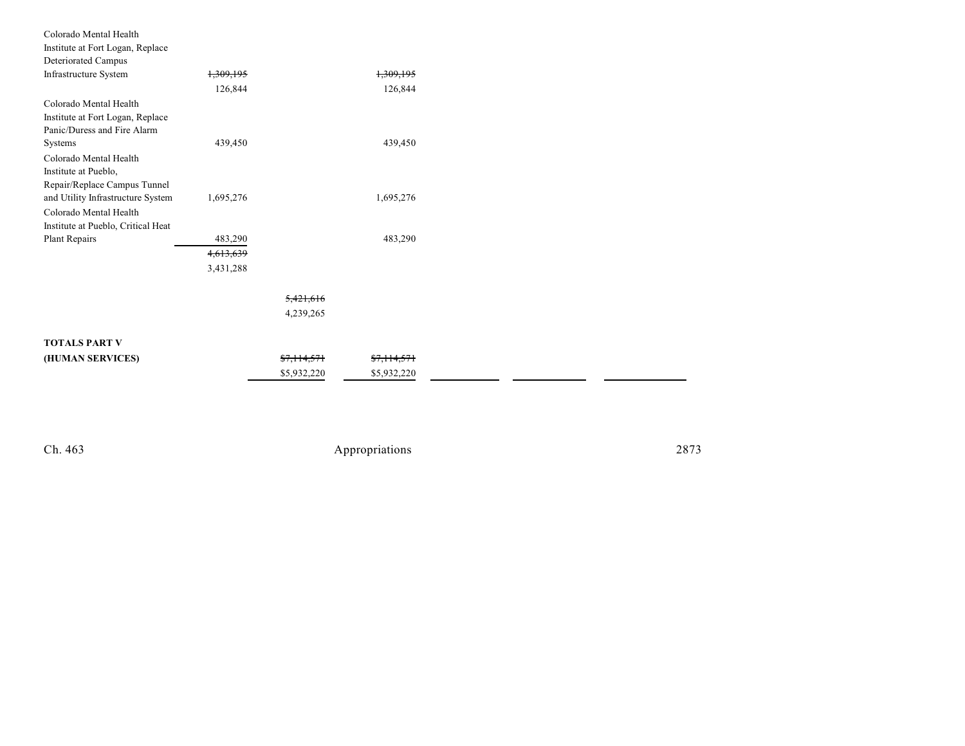| Colorado Mental Health             |           |                        |                        |  |
|------------------------------------|-----------|------------------------|------------------------|--|
| Institute at Fort Logan, Replace   |           |                        |                        |  |
| Deteriorated Campus                |           |                        |                        |  |
| Infrastructure System              | 1,309,195 |                        | 1,309,195              |  |
|                                    | 126,844   |                        | 126,844                |  |
| Colorado Mental Health             |           |                        |                        |  |
| Institute at Fort Logan, Replace   |           |                        |                        |  |
| Panic/Duress and Fire Alarm        |           |                        |                        |  |
| Systems                            | 439,450   |                        | 439,450                |  |
| Colorado Mental Health             |           |                        |                        |  |
| Institute at Pueblo,               |           |                        |                        |  |
| Repair/Replace Campus Tunnel       |           |                        |                        |  |
| and Utility Infrastructure System  | 1,695,276 |                        | 1,695,276              |  |
| Colorado Mental Health             |           |                        |                        |  |
| Institute at Pueblo, Critical Heat |           |                        |                        |  |
| Plant Repairs                      | 483,290   |                        | 483,290                |  |
|                                    | 4,613,639 |                        |                        |  |
|                                    | 3,431,288 |                        |                        |  |
|                                    |           |                        |                        |  |
|                                    |           | 5,421,616              |                        |  |
|                                    |           | 4,239,265              |                        |  |
| <b>TOTALS PART V</b>               |           |                        |                        |  |
|                                    |           | <del>\$7,114,571</del> | <del>\$7,114,571</del> |  |
| (HUMAN SERVICES)                   |           |                        |                        |  |
|                                    |           | \$5,932,220            | \$5,932,220            |  |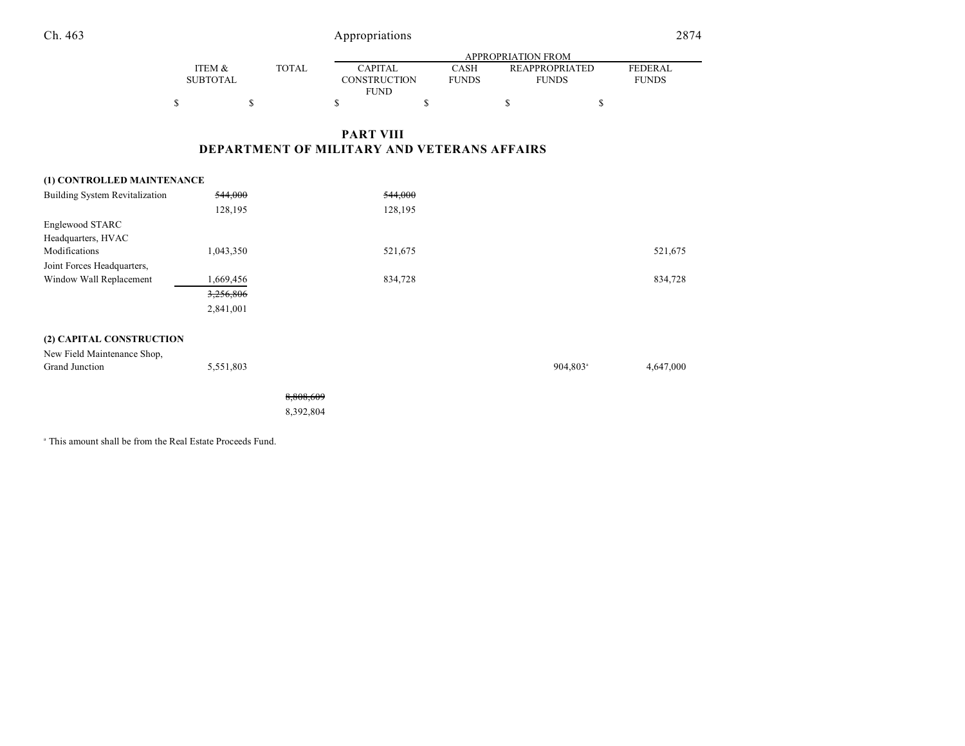|                   |              |                | APPROPRIATION FROM |  |                       |                |  |  |  |
|-------------------|--------------|----------------|--------------------|--|-----------------------|----------------|--|--|--|
| <b>ITEM &amp;</b> | <b>TOTAL</b> | <b>CAPITAL</b> | CASH               |  | <b>REAPPROPRIATED</b> | <b>FEDERAL</b> |  |  |  |
| SUBTOTAL          |              | CONSTRUCTION   | <b>FUNDS</b>       |  | <b>FUNDS</b>          | <b>FUNDS</b>   |  |  |  |
|                   |              | <b>FUND</b>    |                    |  |                       |                |  |  |  |
| \$                |              |                |                    |  |                       |                |  |  |  |

# **PART VIII DEPARTMENT OF MILITARY AND VETERANS AFFAIRS**

| (1) CONTROLLED MAINTENANCE            |           |           |         |                      |           |
|---------------------------------------|-----------|-----------|---------|----------------------|-----------|
| <b>Building System Revitalization</b> | 544,000   |           | 544,000 |                      |           |
|                                       | 128,195   |           | 128,195 |                      |           |
| Englewood STARC                       |           |           |         |                      |           |
| Headquarters, HVAC                    |           |           |         |                      |           |
| Modifications                         | 1,043,350 |           | 521,675 |                      | 521,675   |
| Joint Forces Headquarters,            |           |           |         |                      |           |
| Window Wall Replacement               | 1,669,456 |           | 834,728 |                      | 834,728   |
|                                       | 3,256,806 |           |         |                      |           |
|                                       | 2,841,001 |           |         |                      |           |
| (2) CAPITAL CONSTRUCTION              |           |           |         |                      |           |
| New Field Maintenance Shop,           |           |           |         |                      |           |
| Grand Junction                        | 5,551,803 |           |         | 904,803 <sup>a</sup> | 4,647,000 |
|                                       |           | 8,808,609 |         |                      |           |
|                                       |           | 8,392,804 |         |                      |           |
|                                       |           |           |         |                      |           |

<sup>a</sup> This amount shall be from the Real Estate Proceeds Fund.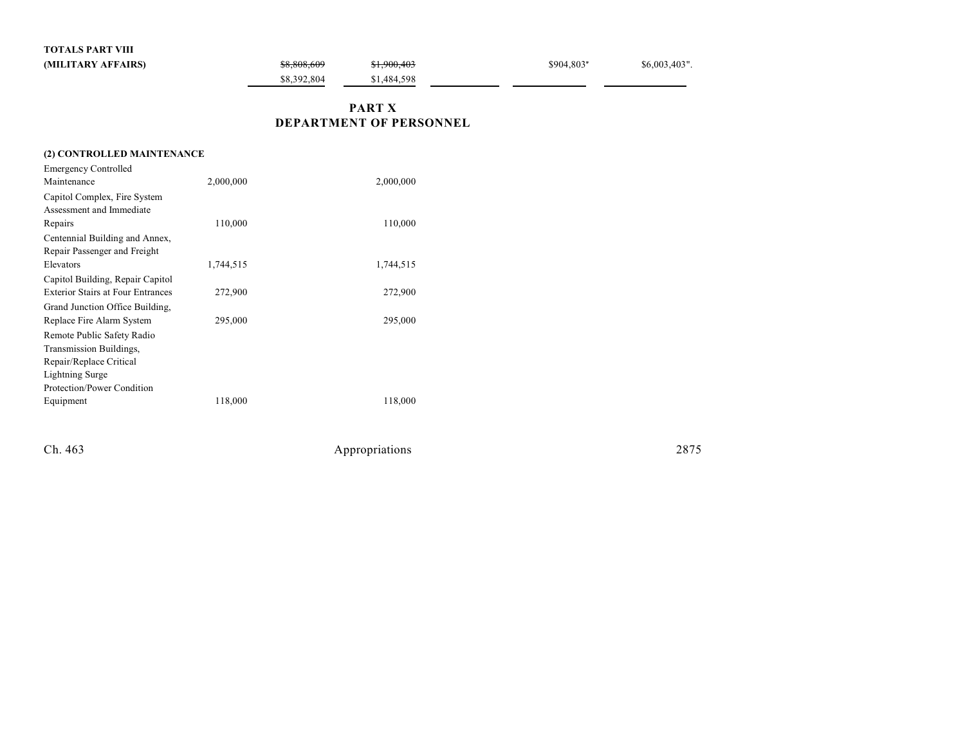**TOTALS PART VIII**

| (MILITARY AFFAIRS)                       |           | \$8,808,609 | \$1,900,403                    | \$904,803* | \$6,003,403". |
|------------------------------------------|-----------|-------------|--------------------------------|------------|---------------|
|                                          |           | \$8,392,804 | \$1,484,598                    |            |               |
|                                          |           |             | <b>PART X</b>                  |            |               |
|                                          |           |             | <b>DEPARTMENT OF PERSONNEL</b> |            |               |
| (2) CONTROLLED MAINTENANCE               |           |             |                                |            |               |
| <b>Emergency Controlled</b>              |           |             |                                |            |               |
| Maintenance                              | 2,000,000 |             | 2,000,000                      |            |               |
| Capitol Complex, Fire System             |           |             |                                |            |               |
| Assessment and Immediate                 |           |             |                                |            |               |
| Repairs                                  | 110,000   |             | 110,000                        |            |               |
| Centennial Building and Annex,           |           |             |                                |            |               |
| Repair Passenger and Freight             |           |             |                                |            |               |
| Elevators                                | 1,744,515 |             | 1,744,515                      |            |               |
| Capitol Building, Repair Capitol         |           |             |                                |            |               |
| <b>Exterior Stairs at Four Entrances</b> | 272,900   |             | 272,900                        |            |               |
| Grand Junction Office Building,          |           |             |                                |            |               |

Replace Fire Alarm System 295,000 295,000 295,000

Equipment 118,000 118,000 118,000

Remote Public Safety Radio Transmission Buildings, Repair/Replace Critical Lightning Surge

Protection/Power Condition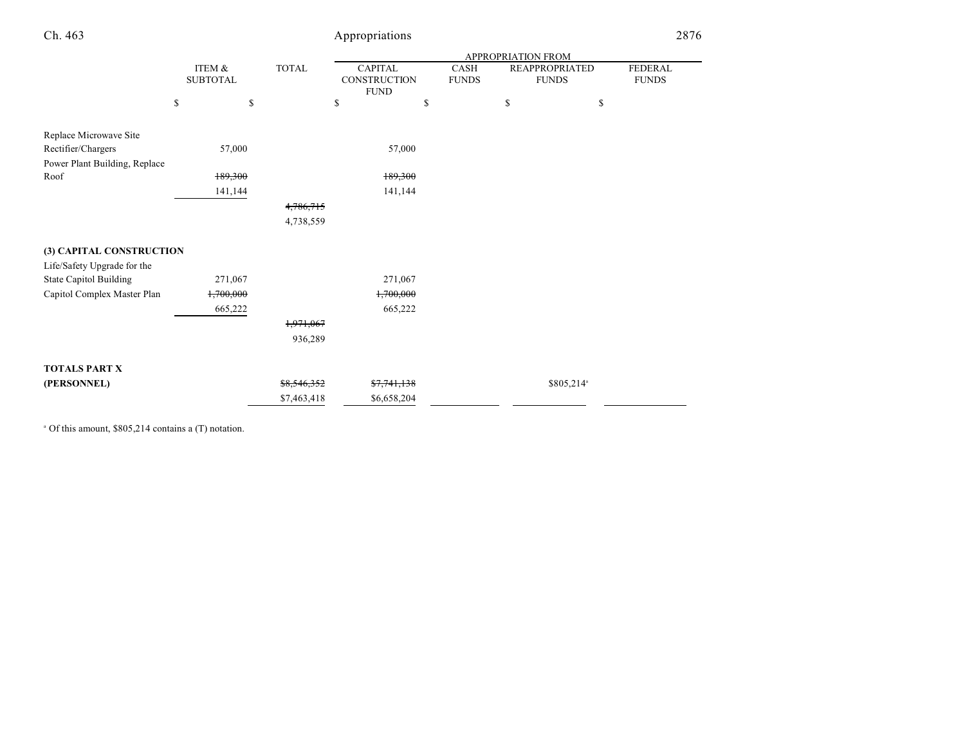| Ch. 463                       |                           |        |              | Appropriations                                |                             |    |                                       | 2876                    |  |
|-------------------------------|---------------------------|--------|--------------|-----------------------------------------------|-----------------------------|----|---------------------------------------|-------------------------|--|
|                               |                           |        |              | APPROPRIATION FROM                            |                             |    |                                       |                         |  |
|                               | ITEM &<br><b>SUBTOTAL</b> |        | <b>TOTAL</b> | <b>CAPITAL</b><br>CONSTRUCTION<br><b>FUND</b> | <b>CASH</b><br><b>FUNDS</b> |    | <b>REAPPROPRIATED</b><br><b>FUNDS</b> | FEDERAL<br><b>FUNDS</b> |  |
|                               | \$                        | \$     |              | \$                                            | \$                          | \$ | \$                                    |                         |  |
| Replace Microwave Site        |                           |        |              |                                               |                             |    |                                       |                         |  |
| Rectifier/Chargers            |                           | 57,000 |              | 57,000                                        |                             |    |                                       |                         |  |
| Power Plant Building, Replace |                           |        |              |                                               |                             |    |                                       |                         |  |
| Roof                          | 189,300                   |        |              | 189,300                                       |                             |    |                                       |                         |  |
|                               | 141,144                   |        |              | 141,144                                       |                             |    |                                       |                         |  |
|                               |                           |        | 4,786,715    |                                               |                             |    |                                       |                         |  |
|                               |                           |        | 4,738,559    |                                               |                             |    |                                       |                         |  |
| (3) CAPITAL CONSTRUCTION      |                           |        |              |                                               |                             |    |                                       |                         |  |
| Life/Safety Upgrade for the   |                           |        |              |                                               |                             |    |                                       |                         |  |
| <b>State Capitol Building</b> | 271,067                   |        |              | 271,067                                       |                             |    |                                       |                         |  |
| Capitol Complex Master Plan   | 1,700,000                 |        |              | 1,700,000                                     |                             |    |                                       |                         |  |
|                               | 665,222                   |        |              | 665,222                                       |                             |    |                                       |                         |  |
|                               |                           |        | 1,971,067    |                                               |                             |    |                                       |                         |  |
|                               |                           |        | 936,289      |                                               |                             |    |                                       |                         |  |
| <b>TOTALS PART X</b>          |                           |        |              |                                               |                             |    |                                       |                         |  |
| (PERSONNEL)                   |                           |        | \$8,546,352  | \$7,741,138                                   |                             |    | \$805,214 <sup>a</sup>                |                         |  |
|                               |                           |        | \$7,463,418  | \$6,658,204                                   |                             |    |                                       |                         |  |

 $^{\circ}$  Of this amount, \$805,214 contains a (T) notation.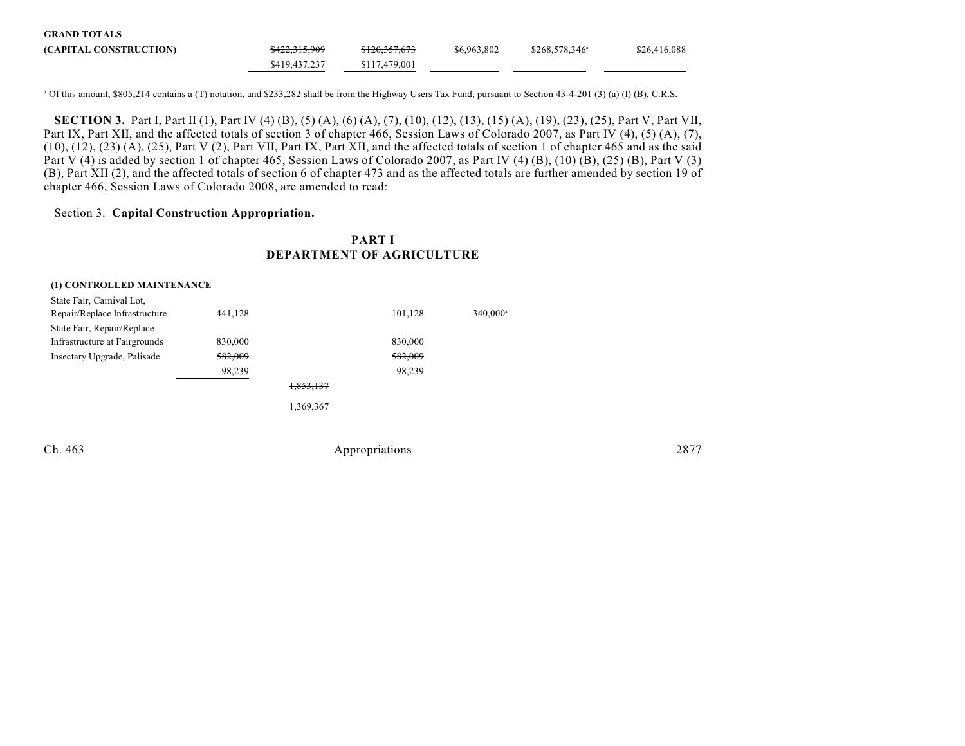| <b>GRAND TOTALS</b>    |                          |                          |             |                        |              |
|------------------------|--------------------------|--------------------------|-------------|------------------------|--------------|
| (CAPITAL CONSTRUCTION) | <del>\$422,315,909</del> | <del>\$120,357,673</del> | \$6,963,802 | $$268,578,346^{\circ}$ | \$26,416,088 |
|                        | \$419,437,237            | \$117,479,001            |             |                        |              |

 $^{\circ}$  Of this amount, \$805,214 contains a (T) notation, and \$233,282 shall be from the Highway Users Tax Fund, pursuant to Section 43-4-201 (3) (a) (I) (B), C.R.S.

**SECTION 3.** Part I, Part II (1), Part IV (4) (B), (5) (A), (6) (A), (7), (10), (12), (13), (15) (A), (19), (23), (25), Part V, Part VII, Part IX, Part XII, and the affected totals of section 3 of chapter 466, Session Laws of Colorado 2007, as Part IV (4), (5) (A), (7),  $(10)$ ,  $(12)$ ,  $(23)$   $(A)$ ,  $(25)$ , Part V  $(2)$ , Part VII, Part IX, Part XII, and the affected totals of section 1 of chapter 465 and as the said Part V (4) is added by section 1 of chapter 465, Session Laws of Colorado 2007, as Part IV (4) (B), (10) (B), (25) (B), Part V (3) (B), Part XII (2), and the affected totals of section 6 of chapter 473 and as the affected totals are further amended by section 19 of chapter 466, Session Laws of Colorado 2008, are amended to read:

### Section 3. **Capital Construction Appropriation.**

## **PART I DEPARTMENT OF AGRICULTURE**

| (1) CONTROLLED MAINTENANCE    |         |           |         |                      |
|-------------------------------|---------|-----------|---------|----------------------|
| State Fair, Carnival Lot,     |         |           |         |                      |
| Repair/Replace Infrastructure | 441,128 |           | 101,128 | 340,000 <sup>a</sup> |
| State Fair, Repair/Replace    |         |           |         |                      |
| Infrastructure at Fairgrounds | 830,000 |           | 830,000 |                      |
| Insectary Upgrade, Palisade   | 582,009 |           | 582,009 |                      |
|                               | 98,239  |           | 98,239  |                      |
|                               |         | 1,853,137 |         |                      |
|                               |         | 1,369,367 |         |                      |
|                               |         |           |         |                      |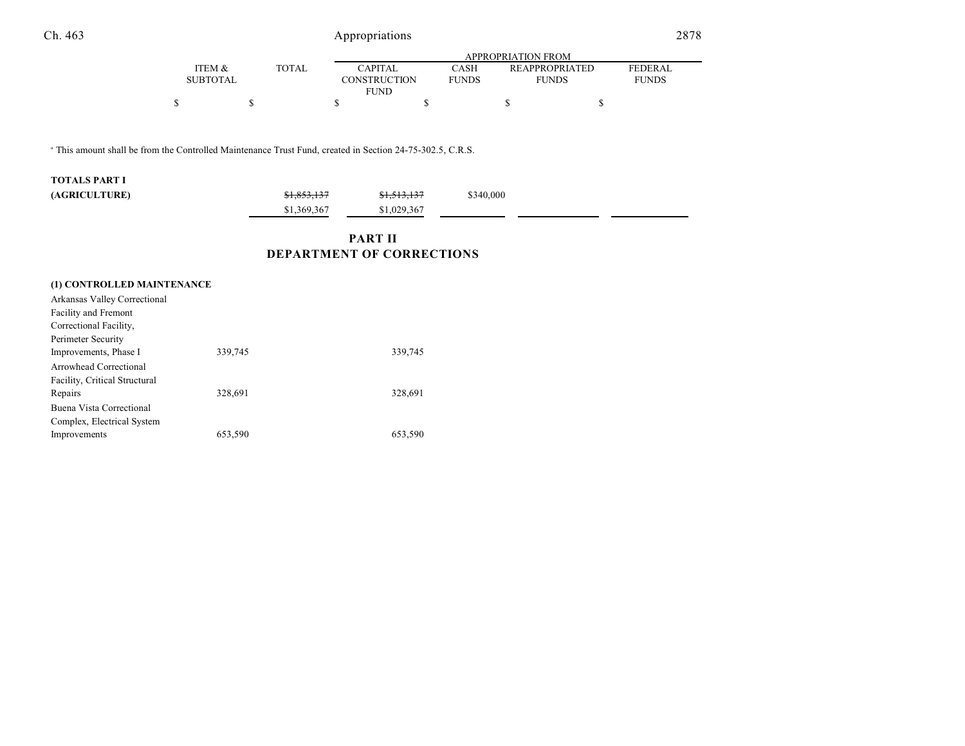|                   |              |                | APPROPRIATION FROM |                       |                |  |  |  |
|-------------------|--------------|----------------|--------------------|-----------------------|----------------|--|--|--|
| <b>ITEM &amp;</b> | <b>TOTAL</b> | <b>CAPITAL</b> | CASH               | <b>REAPPROPRIATED</b> | <b>FEDERAL</b> |  |  |  |
| <b>SUBTOTAL</b>   |              | CONSTRUCTION   | <b>FUNDS</b>       | <b>FUNDS</b>          | <b>FUNDS</b>   |  |  |  |
|                   |              | <b>FUND</b>    |                    |                       |                |  |  |  |
| \$                |              |                |                    |                       |                |  |  |  |

<sup>a</sup> This amount shall be from the Controlled Maintenance Trust Fund, created in Section 24-75-302.5, C.R.S.

| <b>TOTALS PART I</b> |             |                        |           |  |
|----------------------|-------------|------------------------|-----------|--|
| (AGRICULTURE)        | \$1,853,137 | <del>\$1,513,137</del> | \$340,000 |  |
|                      | \$1,369,367 | \$1,029,367            |           |  |

# **PART II DEPARTMENT OF CORRECTIONS**

| (1) CONTROLLED MAINTENANCE    |         |         |
|-------------------------------|---------|---------|
| Arkansas Valley Correctional  |         |         |
| <b>Facility and Fremont</b>   |         |         |
| Correctional Facility,        |         |         |
| Perimeter Security            |         |         |
| Improvements, Phase I         | 339,745 | 339,745 |
| Arrowhead Correctional        |         |         |
| Facility, Critical Structural |         |         |
| Repairs                       | 328,691 | 328,691 |
| Buena Vista Correctional      |         |         |
| Complex, Electrical System    |         |         |
| Improvements                  | 653.590 | 653.590 |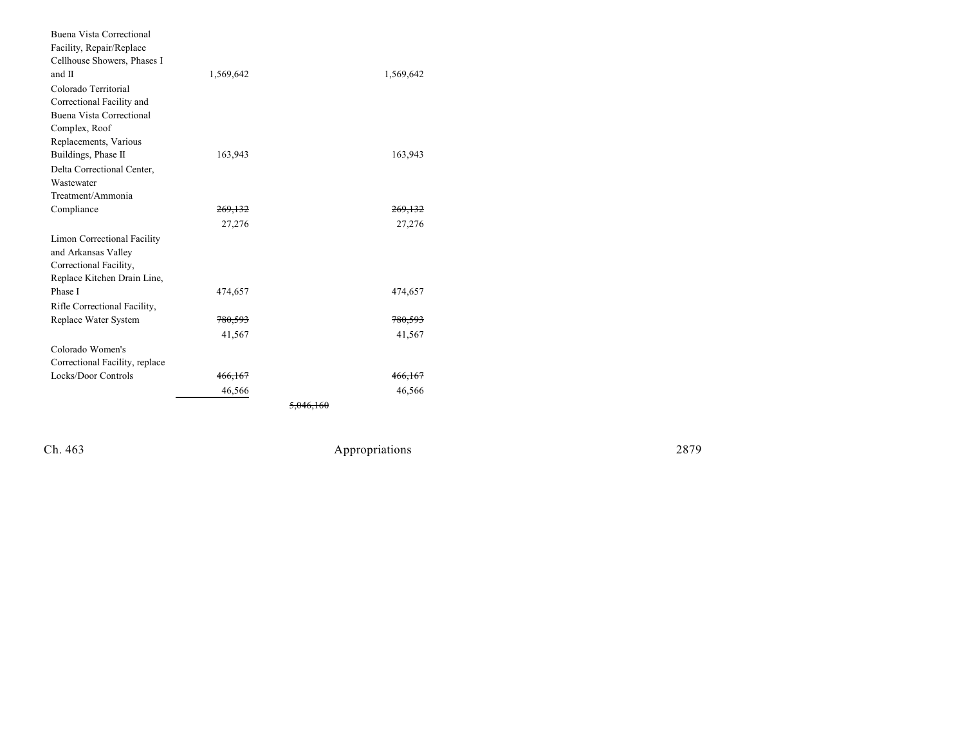| Buena Vista Correctional       |                    |                      |                    |
|--------------------------------|--------------------|----------------------|--------------------|
| Facility, Repair/Replace       |                    |                      |                    |
| Cellhouse Showers, Phases I    |                    |                      |                    |
| and II                         | 1,569,642          |                      | 1,569,642          |
| Colorado Territorial           |                    |                      |                    |
| Correctional Facility and      |                    |                      |                    |
| Buena Vista Correctional       |                    |                      |                    |
| Complex, Roof                  |                    |                      |                    |
| Replacements, Various          |                    |                      |                    |
| Buildings, Phase II            | 163,943            |                      | 163,943            |
| Delta Correctional Center,     |                    |                      |                    |
| Wastewater                     |                    |                      |                    |
| Treatment/Ammonia              |                    |                      |                    |
| Compliance                     | 269.132            |                      | 269.132            |
|                                | 27,276             |                      | 27,276             |
| Limon Correctional Facility    |                    |                      |                    |
| and Arkansas Valley            |                    |                      |                    |
| Correctional Facility,         |                    |                      |                    |
| Replace Kitchen Drain Line,    |                    |                      |                    |
| Phase I                        | 474,657            |                      | 474,657            |
| Rifle Correctional Facility,   |                    |                      |                    |
| Replace Water System           | <del>780,593</del> |                      | 780,593            |
|                                | 41,567             |                      | 41,567             |
| Colorado Women's               |                    |                      |                    |
| Correctional Facility, replace |                    |                      |                    |
| Locks/Door Controls            | 466,167            |                      | <del>466,167</del> |
|                                | 46,566             |                      | 46,566             |
|                                |                    | <del>5.046.160</del> |                    |

Ch. 463

Appropr iat

ions 2879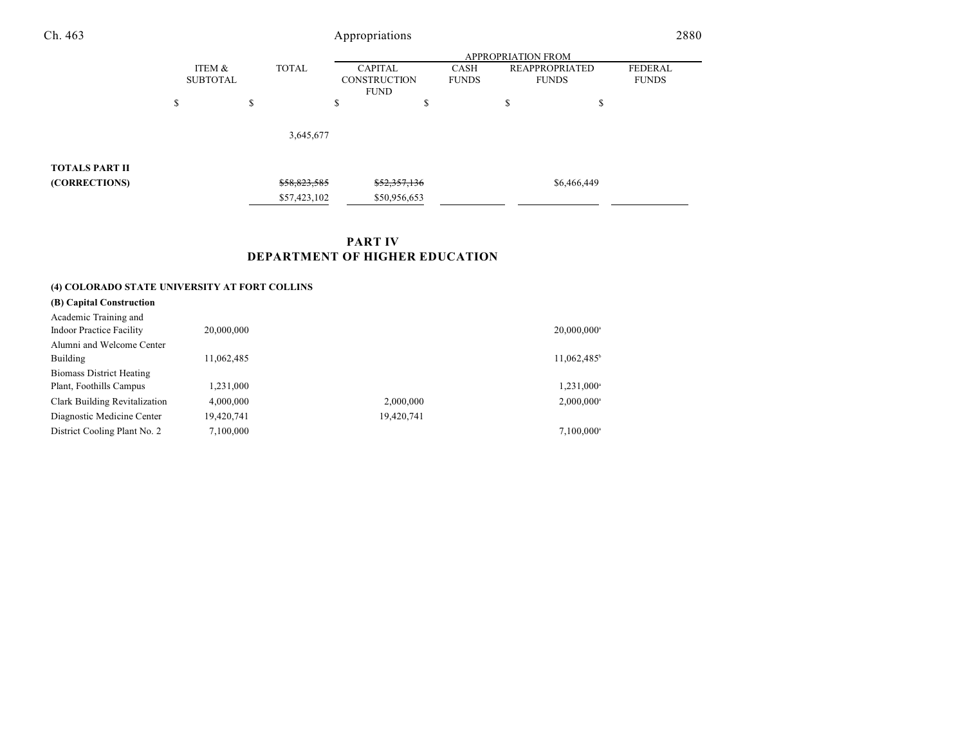| Ch. 463               | Appropriations<br><b>APPROPRIATION FROM</b> |                           |              |                                                                      |  |    | 2880                                                                    |  |
|-----------------------|---------------------------------------------|---------------------------|--------------|----------------------------------------------------------------------|--|----|-------------------------------------------------------------------------|--|
|                       |                                             |                           |              |                                                                      |  |    |                                                                         |  |
|                       |                                             | ITEM &<br><b>SUBTOTAL</b> |              | <b>TOTAL</b><br><b>CAPITAL</b><br><b>CONSTRUCTION</b><br><b>FUND</b> |  |    | <b>FEDERAL</b><br><b>REAPPROPRIATED</b><br><b>FUNDS</b><br><b>FUNDS</b> |  |
|                       | \$                                          | \$                        |              | \$<br>\$                                                             |  | \$ | \$                                                                      |  |
|                       |                                             |                           | 3,645,677    |                                                                      |  |    |                                                                         |  |
| <b>TOTALS PART II</b> |                                             |                           |              |                                                                      |  |    |                                                                         |  |
| (CORRECTIONS)         |                                             |                           | \$58,823,585 | \$52,357,136                                                         |  |    | \$6,466,449                                                             |  |
|                       |                                             |                           | \$57,423,102 | \$50,956,653                                                         |  |    |                                                                         |  |

# **PART IV DEPARTMENT OF HIGHER EDUCATION**

## **(4) COLORADO STATE UNIVERSITY AT FORT COLLINS**

| (B) Capital Construction        |            |            |                           |
|---------------------------------|------------|------------|---------------------------|
| Academic Training and           |            |            |                           |
| <b>Indoor Practice Facility</b> | 20,000,000 |            | $20,000,000$ <sup>a</sup> |
| Alumni and Welcome Center       |            |            |                           |
| Building                        | 11,062,485 |            | 11,062,485 <sup>b</sup>   |
| <b>Biomass District Heating</b> |            |            |                           |
| Plant, Foothills Campus         | 1,231,000  |            | 1,231,000 <sup>a</sup>    |
| Clark Building Revitalization   | 4,000,000  | 2,000,000  | $2,000,000$ <sup>a</sup>  |
| Diagnostic Medicine Center      | 19,420,741 | 19,420,741 |                           |
| District Cooling Plant No. 2    | 7,100,000  |            | $7.100.000$ <sup>a</sup>  |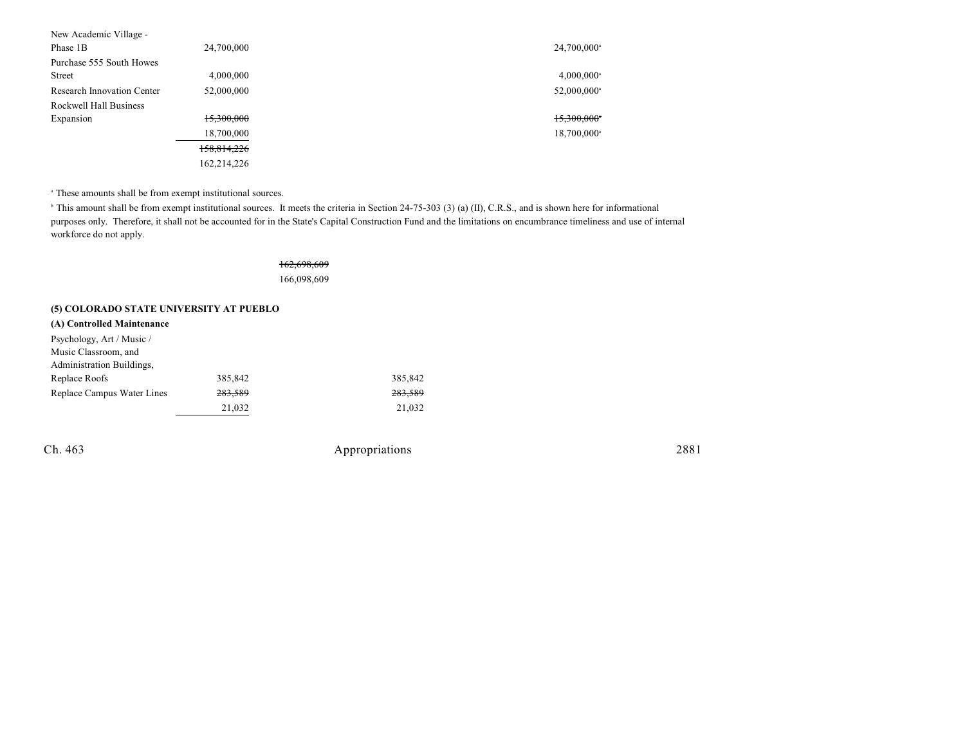| New Academic Village -     |             |                          |
|----------------------------|-------------|--------------------------|
| Phase 1B                   | 24,700,000  | 24,700,000 <sup>a</sup>  |
| Purchase 555 South Howes   |             |                          |
| <b>Street</b>              | 4,000,000   | $4,000,000$ <sup>a</sup> |
| Research Innovation Center | 52,000,000  | 52,000,000 <sup>a</sup>  |
| Rockwell Hall Business     |             |                          |
| Expansion                  | 15,300,000  | 15.300.000*              |
|                            | 18,700,000  | 18,700,000 <sup>a</sup>  |
|                            | 158,814,226 |                          |
|                            | 162,214,226 |                          |
|                            |             |                          |

<sup>a</sup> These amounts shall be from exempt institutional sources.

<sup>b</sup> This amount shall be from exempt institutional sources. It meets the criteria in Section 24-75-303 (3) (a) (II), C.R.S., and is shown here for informational purposes only. Therefore, it shall not be accounted for in the State's Capital Construction Fund and the limitations on encumbrance timeliness and use of internal workforce do not apply.

## 162,698,609 166,098,609

## **(5) COLORADO STATE UNIVERSITY AT PUEBLO**

### **(A) Controlled Maintenance**

| Psychology, Art / Music /  |         |         |
|----------------------------|---------|---------|
| Music Classroom, and       |         |         |
| Administration Buildings,  |         |         |
| Replace Roofs              | 385,842 | 385,842 |
| Replace Campus Water Lines | 283,589 | 283,589 |
|                            | 21,032  | 21,032  |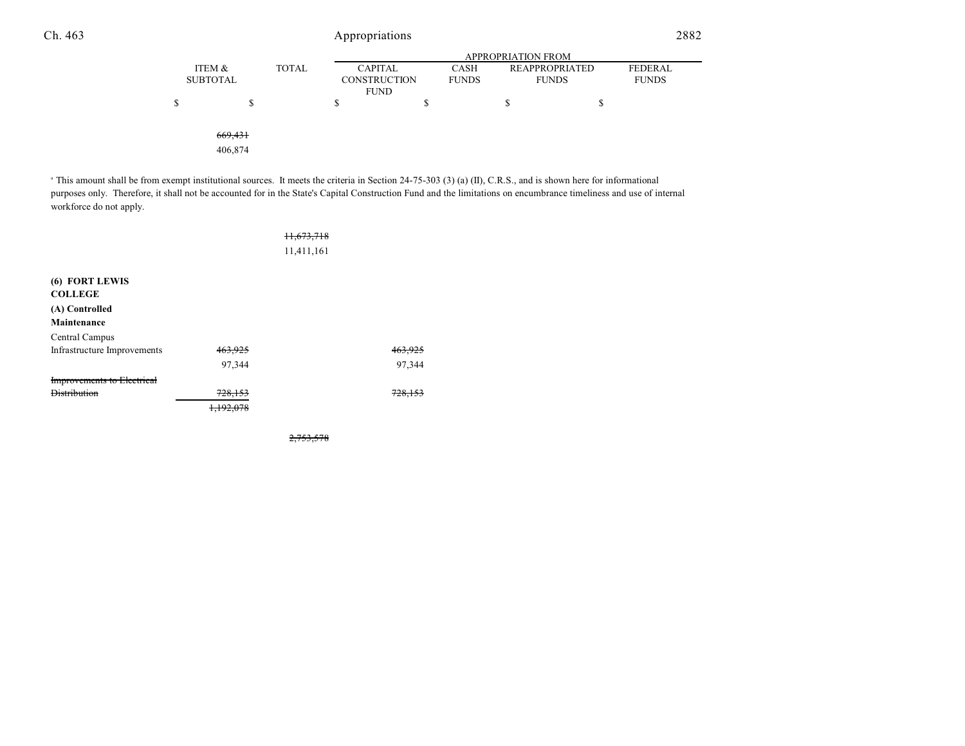|                    |              | <b>APPROPRIATION FROM</b> |              |                       |              |  |  |
|--------------------|--------------|---------------------------|--------------|-----------------------|--------------|--|--|
| ITEM &             | <b>TOTAL</b> | <b>CAPITAL</b>            | <b>CASH</b>  | <b>REAPPROPRIATED</b> | FEDERAL      |  |  |
| <b>SUBTOTAL</b>    |              | <b>CONSTRUCTION</b>       | <b>FUNDS</b> | <b>FUNDS</b>          | <b>FUNDS</b> |  |  |
|                    |              | <b>FUND</b>               |              |                       |              |  |  |
| \$<br>S            |              | \$                        | S            | S                     | S            |  |  |
|                    |              |                           |              |                       |              |  |  |
| 669,431<br>406,874 |              |                           |              |                       |              |  |  |

<sup>a</sup> This amount shall be from exempt institutional sources. It meets the criteria in Section 24-75-303 (3) (a) (II), C.R.S., and is shown here for informational purposes only. Therefore, it shall not be accounted for in the State's Capital Construction Fund and the limitations on encumbrance timeliness and use of internal workforce do not apply.

|                                   |         | 11,673,718 |        |
|-----------------------------------|---------|------------|--------|
|                                   |         | 11,411,161 |        |
| (6) FORT LEWIS<br><b>COLLEGE</b>  |         |            |        |
| (A) Controlled<br>Maintenance     |         |            |        |
| Central Campus                    |         |            |        |
| Infrastructure Improvements       | 463,925 |            |        |
|                                   | 97,344  |            | 97,344 |
| <b>Improvements to Electrical</b> |         |            |        |
| <b>Distribution</b>               | 728,153 |            | 728.   |
|                                   |         |            |        |

2,753,578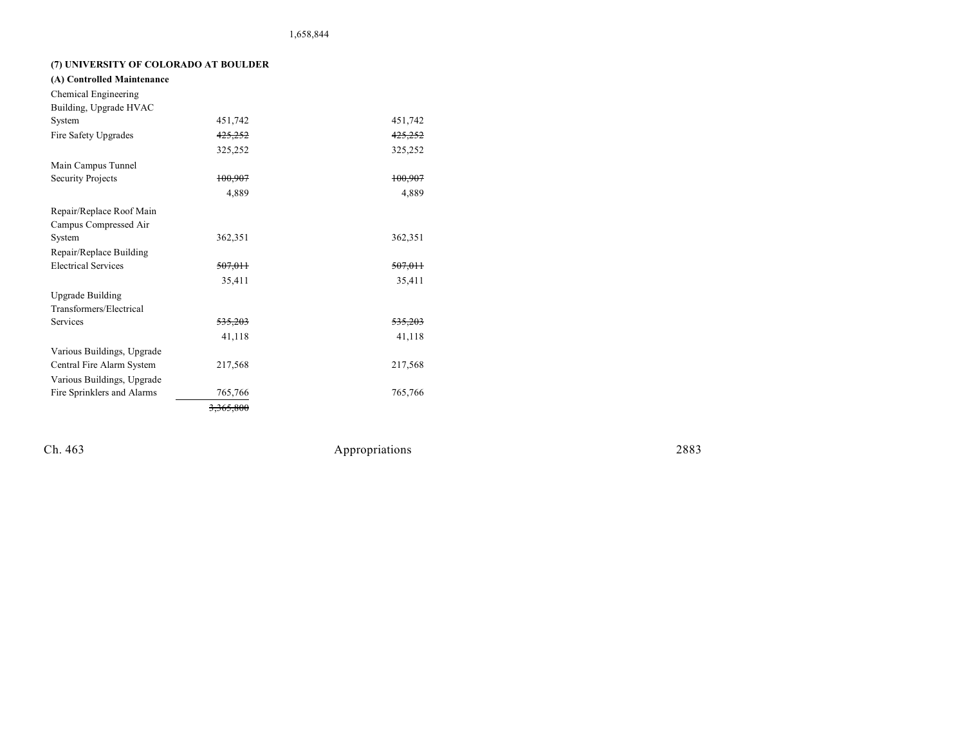# **(7) UNIVERSITY OF COLORADO AT BOULDER**

| (A) Controlled Maintenance |           |                    |
|----------------------------|-----------|--------------------|
| Chemical Engineering       |           |                    |
| Building, Upgrade HVAC     |           |                    |
| System                     | 451,742   | 451,742            |
| Fire Safety Upgrades       | 425,252   | 425,252            |
|                            | 325,252   | 325,252            |
| Main Campus Tunnel         |           |                    |
| Security Projects          | 100.907   | 100,907            |
|                            | 4,889     | 4.889              |
| Repair/Replace Roof Main   |           |                    |
| Campus Compressed Air      |           |                    |
| System                     | 362,351   | 362,351            |
| Repair/Replace Building    |           |                    |
| <b>Electrical Services</b> | 507.011   | <del>507,011</del> |
|                            | 35,411    | 35,411             |
| Upgrade Building           |           |                    |
| Transformers/Electrical    |           |                    |
| Services                   | 535,203   | <del>535.203</del> |
|                            | 41,118    | 41,118             |
| Various Buildings, Upgrade |           |                    |
| Central Fire Alarm System  | 217,568   | 217,568            |
| Various Buildings, Upgrade |           |                    |
| Fire Sprinklers and Alarms | 765,766   | 765,766            |
|                            | 3.365.800 |                    |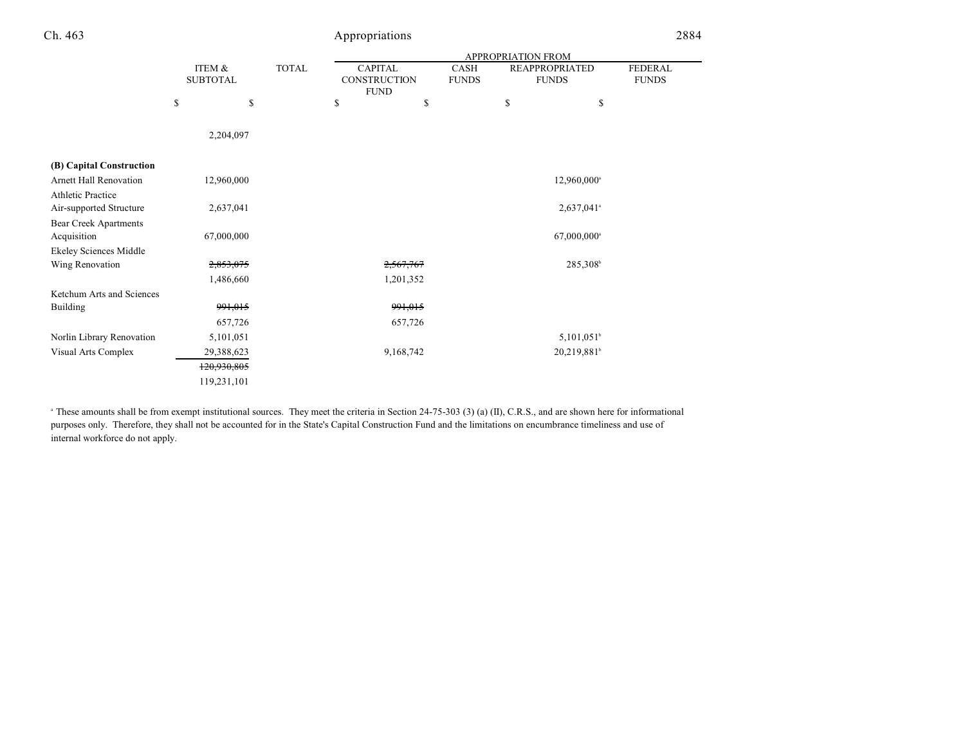| h | 46 |
|---|----|
|---|----|

# Appropriations 2884

|                              |                           |             |              | APPROPRIATION FROM |                                               |                      |    |                                       |                                |
|------------------------------|---------------------------|-------------|--------------|--------------------|-----------------------------------------------|----------------------|----|---------------------------------------|--------------------------------|
|                              | ITEM &<br><b>SUBTOTAL</b> |             | <b>TOTAL</b> |                    | <b>CAPITAL</b><br>CONSTRUCTION<br><b>FUND</b> | CASH<br><b>FUNDS</b> |    | <b>REAPPROPRIATED</b><br><b>FUNDS</b> | <b>FEDERAL</b><br><b>FUNDS</b> |
|                              | \$                        | \$          |              | \$                 | \$                                            |                      | \$ | \$                                    |                                |
|                              |                           | 2,204,097   |              |                    |                                               |                      |    |                                       |                                |
| (B) Capital Construction     |                           |             |              |                    |                                               |                      |    |                                       |                                |
| Arnett Hall Renovation       |                           | 12,960,000  |              |                    |                                               |                      |    | 12,960,000 <sup>a</sup>               |                                |
| <b>Athletic Practice</b>     |                           |             |              |                    |                                               |                      |    |                                       |                                |
| Air-supported Structure      |                           | 2,637,041   |              |                    |                                               |                      |    | 2,637,041 <sup>a</sup>                |                                |
| <b>Bear Creek Apartments</b> |                           |             |              |                    |                                               |                      |    |                                       |                                |
| Acquisition                  |                           | 67,000,000  |              |                    |                                               |                      |    | 67,000,000 <sup>a</sup>               |                                |
| Ekeley Sciences Middle       |                           |             |              |                    |                                               |                      |    |                                       |                                |
| Wing Renovation              |                           | 2,853,075   |              |                    | 2,567,767                                     |                      |    | 285,308                               |                                |
|                              |                           | 1,486,660   |              |                    | 1,201,352                                     |                      |    |                                       |                                |
| Ketchum Arts and Sciences    |                           |             |              |                    |                                               |                      |    |                                       |                                |
| <b>Building</b>              |                           | 991,015     |              |                    | 991,015                                       |                      |    |                                       |                                |
|                              |                           | 657,726     |              |                    | 657,726                                       |                      |    |                                       |                                |
| Norlin Library Renovation    |                           | 5,101,051   |              |                    |                                               |                      |    | $5,101,051^{\circ}$                   |                                |
| Visual Arts Complex          |                           | 29,388,623  |              |                    | 9,168,742                                     |                      |    | 20,219,881                            |                                |
|                              |                           | 120,930,805 |              |                    |                                               |                      |    |                                       |                                |
|                              |                           | 119,231,101 |              |                    |                                               |                      |    |                                       |                                |
|                              |                           |             |              |                    |                                               |                      |    |                                       |                                |

<sup>a</sup> These amounts shall be from exempt institutional sources. They meet the criteria in Section 24-75-303 (3) (a) (II), C.R.S., and are shown here for informational purposes only. Therefore, they shall not be accounted for in the State's Capital Construction Fund and the limitations on encumbrance timeliness and use of internal workforce do not apply.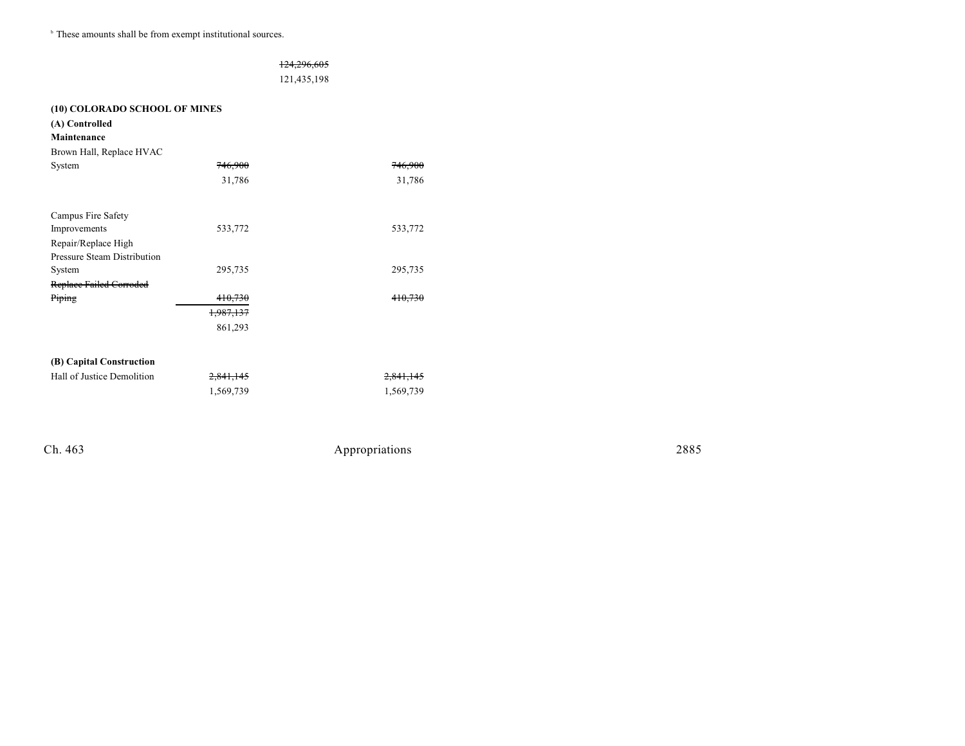$\,^{\circ}$  These amounts shall be from exempt institutional sources.

|                                    |           | 124,296,605 |                      |
|------------------------------------|-----------|-------------|----------------------|
|                                    |           | 121,435,198 |                      |
| (10) COLORADO SCHOOL OF MINES      |           |             |                      |
| (A) Controlled                     |           |             |                      |
| Maintenance                        |           |             |                      |
| Brown Hall, Replace HVAC           |           |             |                      |
| System                             | 746.900   |             |                      |
|                                    | 31,786    |             | 31,786               |
| Campus Fire Safety                 |           |             |                      |
| Improvements                       | 533,772   |             | 533,772              |
| Repair/Replace High                |           |             |                      |
| <b>Pressure Steam Distribution</b> |           |             |                      |
| System                             | 295,735   |             | 295,735              |
| Replace Failed Corroded            |           |             |                      |
| Piping                             | 410,730   |             | <del>410.730</del>   |
|                                    | 1,987,137 |             |                      |
|                                    | 861,293   |             |                      |
| (B) Capital Construction           |           |             |                      |
| Hall of Justice Demolition         | 2,841,145 |             | <del>2,841,145</del> |
|                                    | 1,569,739 |             | 1,569,739            |
|                                    |           |             |                      |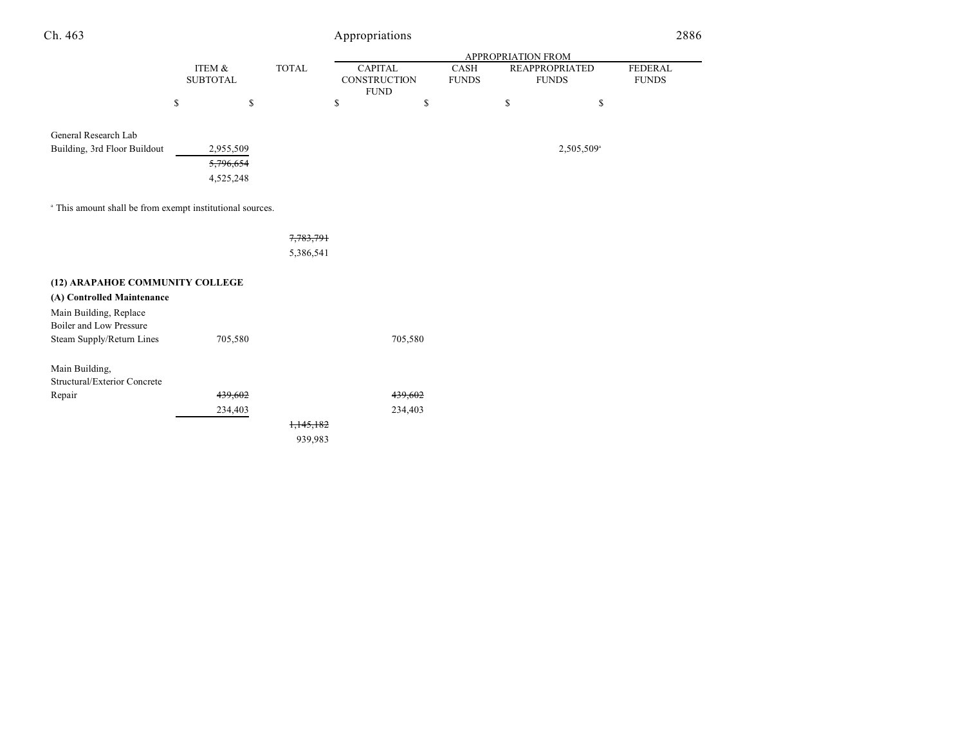| Ch. 463                                                              |                           |                        |                      | Appropriations                                |                      |                    |                                       | 2886                           |
|----------------------------------------------------------------------|---------------------------|------------------------|----------------------|-----------------------------------------------|----------------------|--------------------|---------------------------------------|--------------------------------|
|                                                                      |                           |                        |                      |                                               |                      | APPROPRIATION FROM |                                       |                                |
|                                                                      | ITEM &<br><b>SUBTOTAL</b> |                        | <b>TOTAL</b>         | <b>CAPITAL</b><br>CONSTRUCTION<br><b>FUND</b> | CASH<br><b>FUNDS</b> |                    | <b>REAPPROPRIATED</b><br><b>FUNDS</b> | <b>FEDERAL</b><br><b>FUNDS</b> |
|                                                                      | \$                        | \$                     |                      | \$<br>\$                                      |                      | \$                 | \$                                    |                                |
| General Research Lab                                                 |                           |                        |                      |                                               |                      |                    |                                       |                                |
| Building, 3rd Floor Buildout                                         |                           | 2,955,509<br>5,796,654 |                      |                                               |                      |                    | 2,505,509 <sup>a</sup>                |                                |
|                                                                      |                           | 4,525,248              |                      |                                               |                      |                    |                                       |                                |
| <sup>a</sup> This amount shall be from exempt institutional sources. |                           |                        |                      |                                               |                      |                    |                                       |                                |
|                                                                      |                           |                        | 7,783,791            |                                               |                      |                    |                                       |                                |
|                                                                      |                           |                        | 5,386,541            |                                               |                      |                    |                                       |                                |
| (12) ARAPAHOE COMMUNITY COLLEGE                                      |                           |                        |                      |                                               |                      |                    |                                       |                                |
| (A) Controlled Maintenance                                           |                           |                        |                      |                                               |                      |                    |                                       |                                |
| Main Building, Replace<br>Boiler and Low Pressure                    |                           |                        |                      |                                               |                      |                    |                                       |                                |
| Steam Supply/Return Lines                                            |                           | 705,580                |                      | 705,580                                       |                      |                    |                                       |                                |
| Main Building,<br>Structural/Exterior Concrete                       |                           |                        |                      |                                               |                      |                    |                                       |                                |
| Repair                                                               |                           | 439,602                |                      | 439,602                                       |                      |                    |                                       |                                |
|                                                                      |                           | 234,403                |                      | 234,403                                       |                      |                    |                                       |                                |
|                                                                      |                           |                        | <del>1,145,182</del> |                                               |                      |                    |                                       |                                |
|                                                                      |                           |                        | 939,983              |                                               |                      |                    |                                       |                                |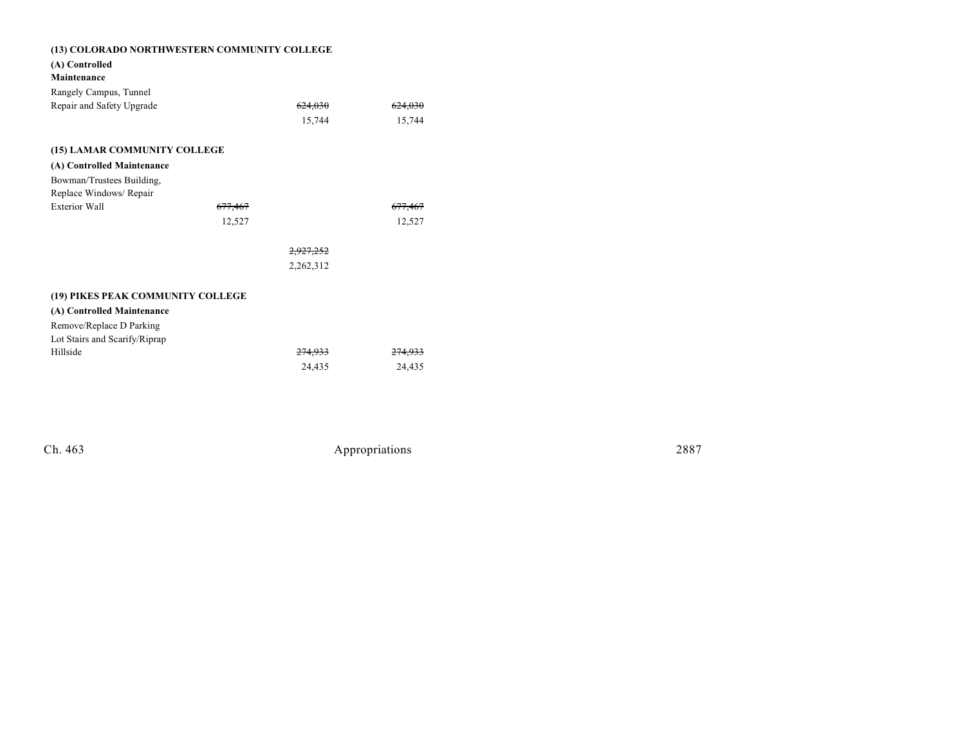| (13) COLORADO NORTHWESTERN COMMUNITY COLLEGE |                      |                    |  |  |  |
|----------------------------------------------|----------------------|--------------------|--|--|--|
| (A) Controlled                               |                      |                    |  |  |  |
| Maintenance                                  |                      |                    |  |  |  |
| Rangely Campus, Tunnel                       |                      |                    |  |  |  |
| Repair and Safety Upgrade                    | 624,030              | <del>624,030</del> |  |  |  |
|                                              | 15,744               | 15,744             |  |  |  |
|                                              |                      |                    |  |  |  |
| (15) LAMAR COMMUNITY COLLEGE                 |                      |                    |  |  |  |
| (A) Controlled Maintenance                   |                      |                    |  |  |  |
| Bowman/Trustees Building,                    |                      |                    |  |  |  |
| Replace Windows/ Repair                      |                      |                    |  |  |  |
| <b>Exterior Wall</b>                         | <del>677,467</del>   | <del>677.467</del> |  |  |  |
|                                              | 12,527               | 12,527             |  |  |  |
|                                              |                      |                    |  |  |  |
|                                              | <del>2,927,252</del> |                    |  |  |  |
|                                              | 2,262,312            |                    |  |  |  |
|                                              |                      |                    |  |  |  |
| (19) PIKES PEAK COMMUNITY COLLEGE            |                      |                    |  |  |  |
| (A) Controlled Maintenance                   |                      |                    |  |  |  |
| Remove/Replace D Parking                     |                      |                    |  |  |  |
| Lot Stairs and Scarify/Riprap                |                      |                    |  |  |  |
| Hillside                                     | <del>274,933</del>   |                    |  |  |  |
|                                              | 24,435               | 24,435             |  |  |  |
|                                              |                      |                    |  |  |  |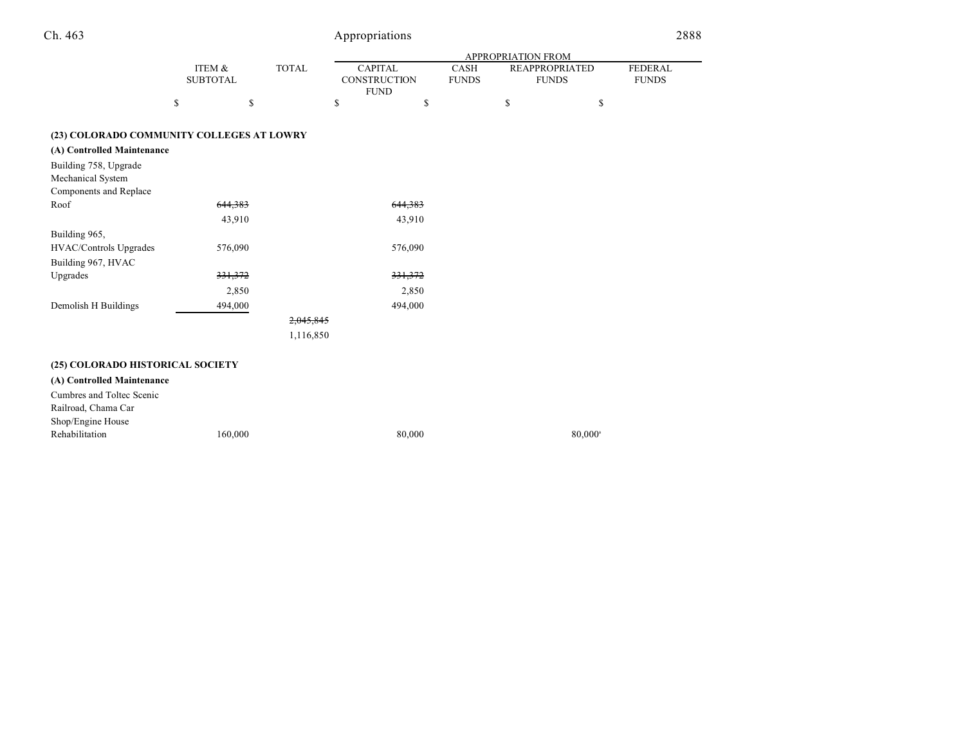|                                                                                                                                                 |                           |         |              |                                               |         |                             | <b>APPROPRIATION FROM</b> |                                       |                                |
|-------------------------------------------------------------------------------------------------------------------------------------------------|---------------------------|---------|--------------|-----------------------------------------------|---------|-----------------------------|---------------------------|---------------------------------------|--------------------------------|
|                                                                                                                                                 | ITEM &<br><b>SUBTOTAL</b> |         | <b>TOTAL</b> | <b>CAPITAL</b><br>CONSTRUCTION<br><b>FUND</b> |         | <b>CASH</b><br><b>FUNDS</b> |                           | <b>REAPPROPRIATED</b><br><b>FUNDS</b> | <b>FEDERAL</b><br><b>FUNDS</b> |
|                                                                                                                                                 | \$                        | \$      |              | \$                                            | \$      |                             | \$                        | \$                                    |                                |
| (23) COLORADO COMMUNITY COLLEGES AT LOWRY<br>(A) Controlled Maintenance<br>Building 758, Upgrade<br>Mechanical System<br>Components and Replace |                           |         |              |                                               |         |                             |                           |                                       |                                |
| Roof                                                                                                                                            |                           | 644,383 |              |                                               | 644,383 |                             |                           |                                       |                                |
|                                                                                                                                                 |                           | 43,910  |              |                                               | 43,910  |                             |                           |                                       |                                |
| Building 965,<br><b>HVAC/Controls Upgrades</b><br>Building 967, HVAC                                                                            |                           | 576,090 |              |                                               | 576,090 |                             |                           |                                       |                                |

| Upgrades             | <del>331,372</del> |           | 331,372 |
|----------------------|--------------------|-----------|---------|
|                      | 2.850              |           | 2,850   |
| Demolish H Buildings | 494,000            |           | 494,000 |
|                      |                    | 2,045,845 |         |
|                      |                    | 1,116,850 |         |

### **(25) COLORADO HISTORICAL SOCIETY**

**(A) Controlled Maintenance** Cumbres and Toltec Scenic

Railroad, Chama Car Shop/Engine House

Rehabilitation  $160,000$   $80,000$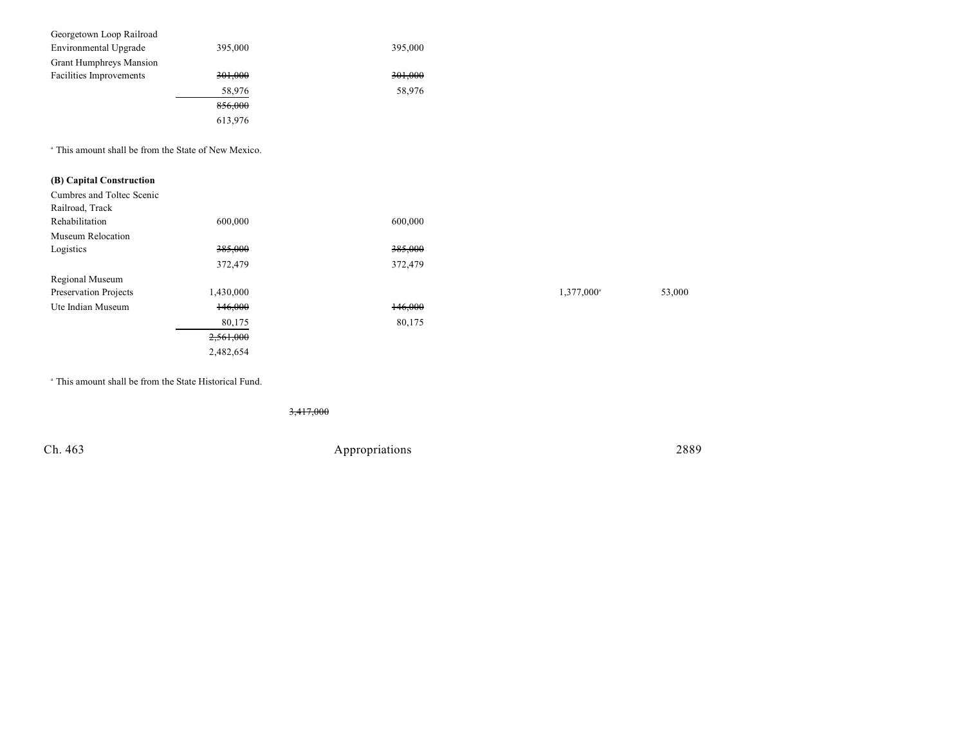| Georgetown Loop Railroad       |         |         |
|--------------------------------|---------|---------|
| Environmental Upgrade          | 395,000 | 395,000 |
| <b>Grant Humphreys Mansion</b> |         |         |
| Facilities Improvements        | 301,000 | 301,000 |
|                                | 58,976  | 58,976  |
|                                | 856,000 |         |
|                                | 613,976 |         |

<sup>a</sup> This amount shall be from the State of New Mexico.

## **(B) Capital Construction**

| Cumbres and Toltec Scenic |                    |                    |                        |        |
|---------------------------|--------------------|--------------------|------------------------|--------|
| Railroad, Track           |                    |                    |                        |        |
| Rehabilitation            | 600,000            | 600,000            |                        |        |
| Museum Relocation         |                    |                    |                        |        |
| Logistics                 | <del>385,000</del> | <del>385,000</del> |                        |        |
|                           | 372,479            | 372,479            |                        |        |
| Regional Museum           |                    |                    |                        |        |
| Preservation Projects     | 1,430,000          |                    | 1,377,000 <sup>a</sup> | 53,000 |
| Ute Indian Museum         | 146,000            | 146,000            |                        |        |
|                           | 80,175             | 80,175             |                        |        |
|                           | 2,561,000          |                    |                        |        |
|                           | 2,482,654          |                    |                        |        |
|                           |                    |                    |                        |        |

| 1,377,000 <sup>a</sup> | 53,000 |
|------------------------|--------|

 $^{\circ}$  This amount shall be from the State Historical Fund.

3,417,000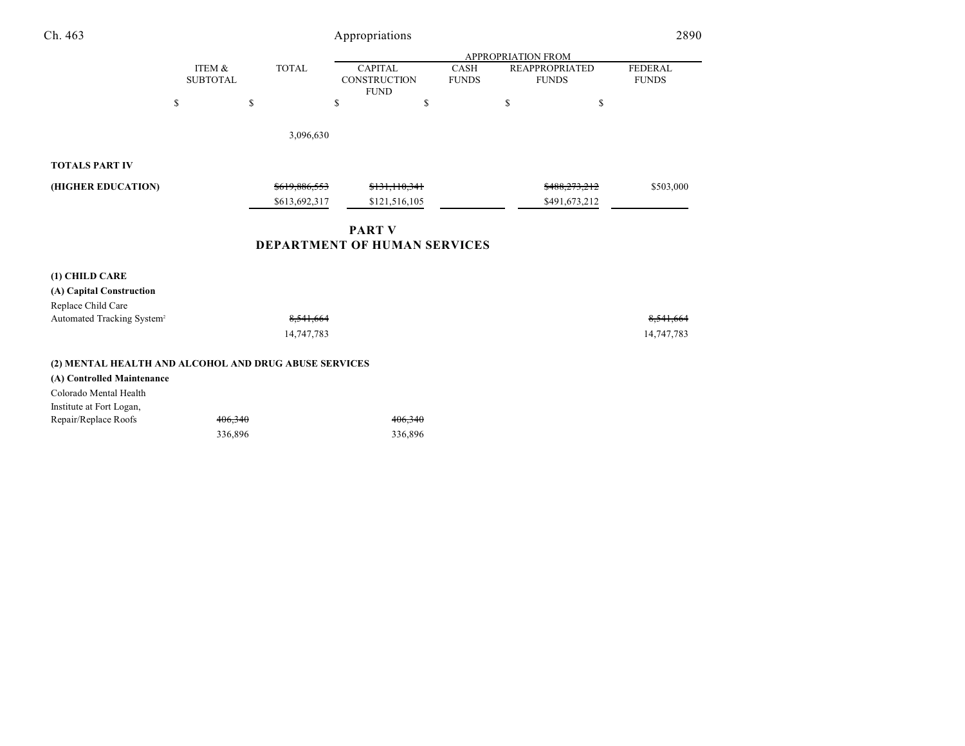| Ch. 463               |                           | 2890          |                                                      |                             |                                       |                                |
|-----------------------|---------------------------|---------------|------------------------------------------------------|-----------------------------|---------------------------------------|--------------------------------|
|                       |                           |               |                                                      |                             | <b>APPROPRIATION FROM</b>             |                                |
|                       | ITEM &<br><b>SUBTOTAL</b> | <b>TOTAL</b>  | <b>CAPITAL</b><br><b>CONSTRUCTION</b><br><b>FUND</b> | <b>CASH</b><br><b>FUNDS</b> | <b>REAPPROPRIATED</b><br><b>FUNDS</b> | <b>FEDERAL</b><br><b>FUNDS</b> |
|                       | S                         | \$            | ch<br>ъ                                              | ъ                           | \$                                    | \$                             |
|                       |                           | 3,096,630     |                                                      |                             |                                       |                                |
| <b>TOTALS PART IV</b> |                           |               |                                                      |                             |                                       |                                |
| (HIGHER EDUCATION)    |                           | \$619,886,553 | \$131,110,341                                        |                             | \$488,273,212                         | \$503,000                      |
|                       |                           | \$613,692,317 | \$121,516,105                                        |                             | \$491,673,212                         |                                |

## **PART V DEPARTMENT OF HUMAN SERVICES**

14,747,783 14,747,783

| (1) CHILD CARE                                                                                                |            |         |            |
|---------------------------------------------------------------------------------------------------------------|------------|---------|------------|
| (A) Capital Construction                                                                                      |            |         |            |
| Replace Child Care                                                                                            |            |         |            |
| Automated Tracking System <sup>2</sup>                                                                        | 8,541,664  |         | 8,541,664  |
|                                                                                                               | 14,747,783 |         | 14,747,783 |
| (2) MENTAL HEALTH AND ALCOHOL AND DRUG ABUSE SERVICES<br>(A) Controlled Maintenance<br>Colorado Mental Health |            |         |            |
| Institute at Fort Logan,                                                                                      |            |         |            |
| Repair/Replace Roofs                                                                                          | 406,340    | 406,340 |            |
|                                                                                                               | 336,896    | 336,896 |            |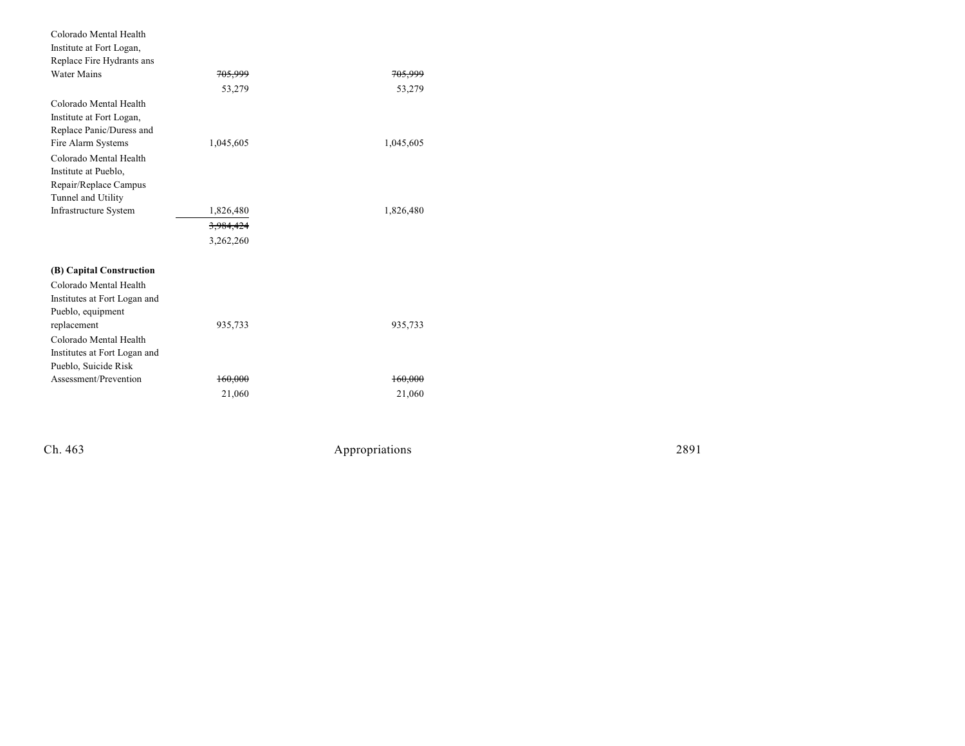| Colorado Mental Health       |                    |                    |
|------------------------------|--------------------|--------------------|
| Institute at Fort Logan,     |                    |                    |
| Replace Fire Hydrants ans    |                    |                    |
| <b>Water Mains</b>           | <del>705.999</del> | <del>705,999</del> |
|                              | 53,279             | 53,279             |
| Colorado Mental Health       |                    |                    |
| Institute at Fort Logan,     |                    |                    |
| Replace Panic/Duress and     |                    |                    |
| Fire Alarm Systems           | 1,045,605          | 1,045,605          |
| Colorado Mental Health       |                    |                    |
| Institute at Pueblo,         |                    |                    |
| Repair/Replace Campus        |                    |                    |
| Tunnel and Utility           |                    |                    |
| Infrastructure System        | 1,826,480          | 1,826,480          |
|                              | 3,984,424          |                    |
|                              | 3,262,260          |                    |
| (B) Capital Construction     |                    |                    |
| Colorado Mental Health       |                    |                    |
| Institutes at Fort Logan and |                    |                    |
| Pueblo, equipment            |                    |                    |
| replacement                  | 935,733            | 935,733            |
| Colorado Mental Health       |                    |                    |
| Institutes at Fort Logan and |                    |                    |
| Pueblo, Suicide Risk         |                    |                    |
| Assessment/Prevention        | 160,000            | 160,000            |
|                              | 21,060             | 21,060             |

Ch. 463

Appropr iat

ions 2891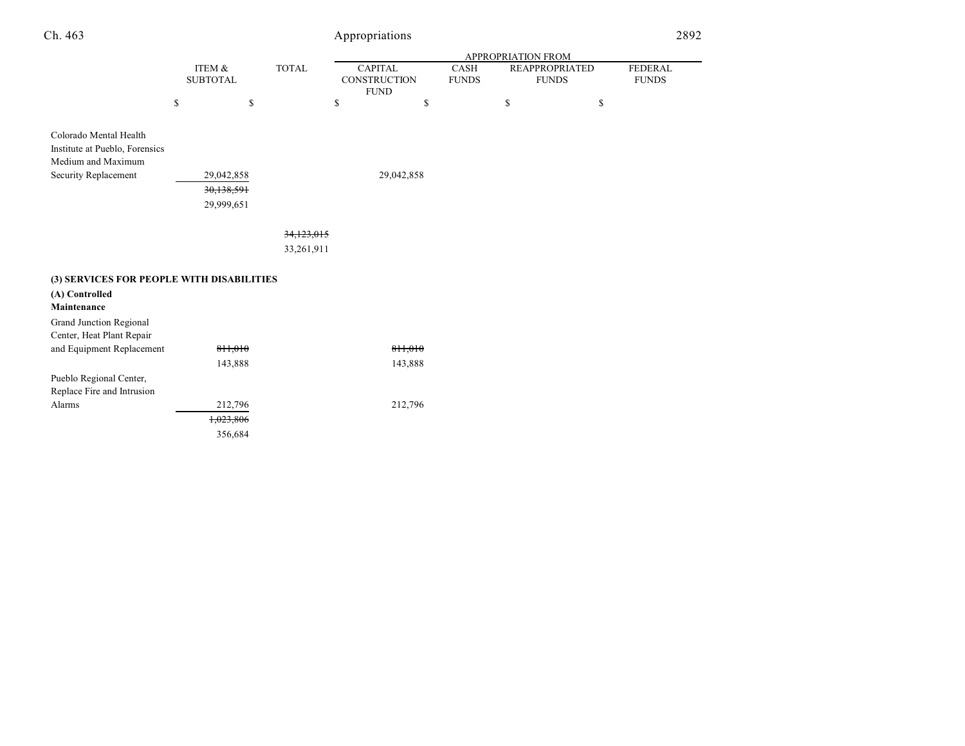| Ch. 463 |                 | Appropriations            |                         |                                     |  |                |                | 2892 |
|---------|-----------------|---------------------------|-------------------------|-------------------------------------|--|----------------|----------------|------|
|         |                 | <b>APPROPRIATION FROM</b> |                         |                                     |  |                |                |      |
|         | ITEM &          |                           | <b>CAPITAL</b><br>TOTAL | <b>CASH</b>                         |  | REAPPROPRIATED | <b>FEDERAL</b> |      |
|         | <b>SUBTOTAL</b> |                           |                         | <b>CONSTRUCTION</b><br><b>FUNDS</b> |  | <b>FUNDS</b>   | <b>FUNDS</b>   |      |
|         |                 |                           |                         | <b>FUND</b>                         |  |                |                |      |
|         |                 |                           |                         |                                     |  |                |                |      |
|         |                 |                           |                         |                                     |  |                |                |      |
|         |                 |                           |                         |                                     |  |                |                |      |

| Colorado Mental Health         |            |            |
|--------------------------------|------------|------------|
| Institute at Pueblo, Forensics |            |            |
| Medium and Maximum             |            |            |
| Security Replacement           | 29,042,858 | 29,042,858 |
|                                | 30,138,591 |            |
|                                | 29,999,651 |            |
|                                |            |            |

34,123,015

33,261,911

| (3) SERVICES FOR PEOPLE WITH DISABILITIES |                      |         |
|-------------------------------------------|----------------------|---------|
| (A) Controlled                            |                      |         |
| Maintenance                               |                      |         |
| Grand Junction Regional                   |                      |         |
| Center, Heat Plant Repair                 |                      |         |
| and Equipment Replacement                 | 811.010              | 811.010 |
|                                           | 143,888              | 143,888 |
| Pueblo Regional Center,                   |                      |         |
| Replace Fire and Intrusion                |                      |         |
| Alarms                                    | 212,796              | 212,796 |
|                                           | <del>1.023.806</del> |         |
|                                           | 356,684              |         |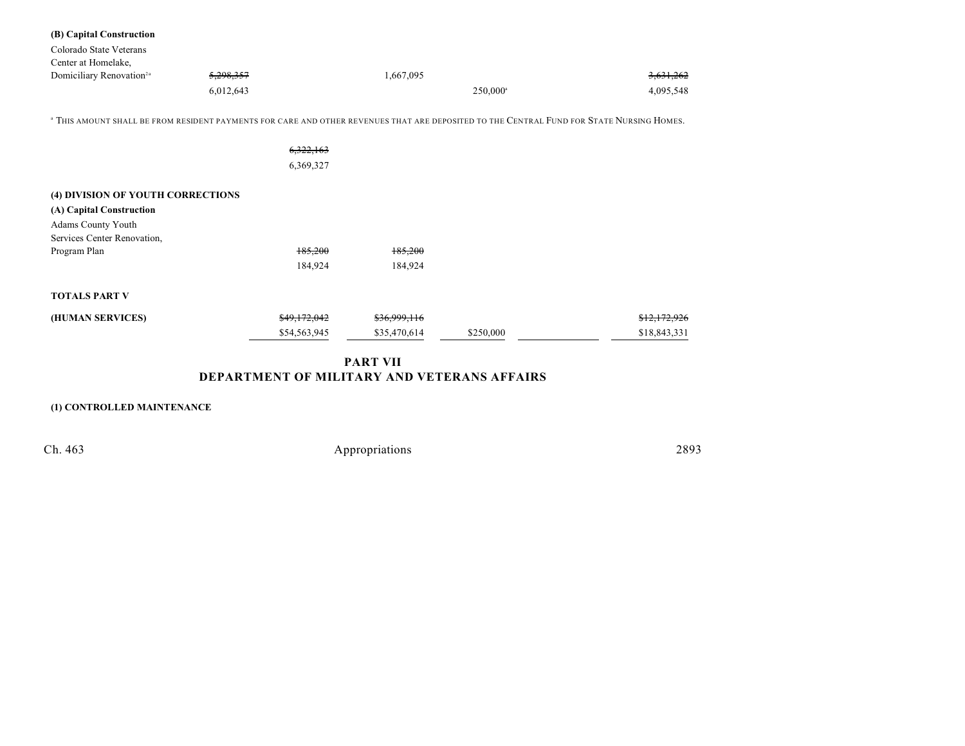| (B) Capital Construction                          |                                                                                                                                                      |              |                   |              |
|---------------------------------------------------|------------------------------------------------------------------------------------------------------------------------------------------------------|--------------|-------------------|--------------|
| Colorado State Veterans                           |                                                                                                                                                      |              |                   |              |
| Center at Homelake,                               |                                                                                                                                                      |              |                   |              |
| Domiciliary Renovation <sup>2a</sup>              | 5,298,357                                                                                                                                            | 1,667,095    |                   | 3,631,262    |
|                                                   | 6,012,643                                                                                                                                            |              | $250,000^{\circ}$ | 4,095,548    |
|                                                   | <sup>a</sup> THIS AMOUNT SHALL BE FROM RESIDENT PAYMENTS FOR CARE AND OTHER REVENUES THAT ARE DEPOSITED TO THE CENTRAL FUND FOR STATE NURSING HOMES. |              |                   |              |
|                                                   | 6,322,163                                                                                                                                            |              |                   |              |
|                                                   | 6,369,327                                                                                                                                            |              |                   |              |
| (4) DIVISION OF YOUTH CORRECTIONS                 |                                                                                                                                                      |              |                   |              |
| (A) Capital Construction                          |                                                                                                                                                      |              |                   |              |
| Adams County Youth<br>Services Center Renovation, |                                                                                                                                                      |              |                   |              |
| Program Plan                                      | 185,200                                                                                                                                              | 185,200      |                   |              |
|                                                   | 184,924                                                                                                                                              | 184,924      |                   |              |
| <b>TOTALS PART V</b>                              |                                                                                                                                                      |              |                   |              |
| (HUMAN SERVICES)                                  | \$49,172,042                                                                                                                                         | \$36,999,116 |                   | \$12,172,926 |
|                                                   | \$54,563,945                                                                                                                                         | \$35,470,614 | \$250,000         | \$18,843,331 |

# **PART VII DEPARTMENT OF MILITARY AND VETERANS AFFAIRS**

## **(1) CONTROLLED MAINTENANCE**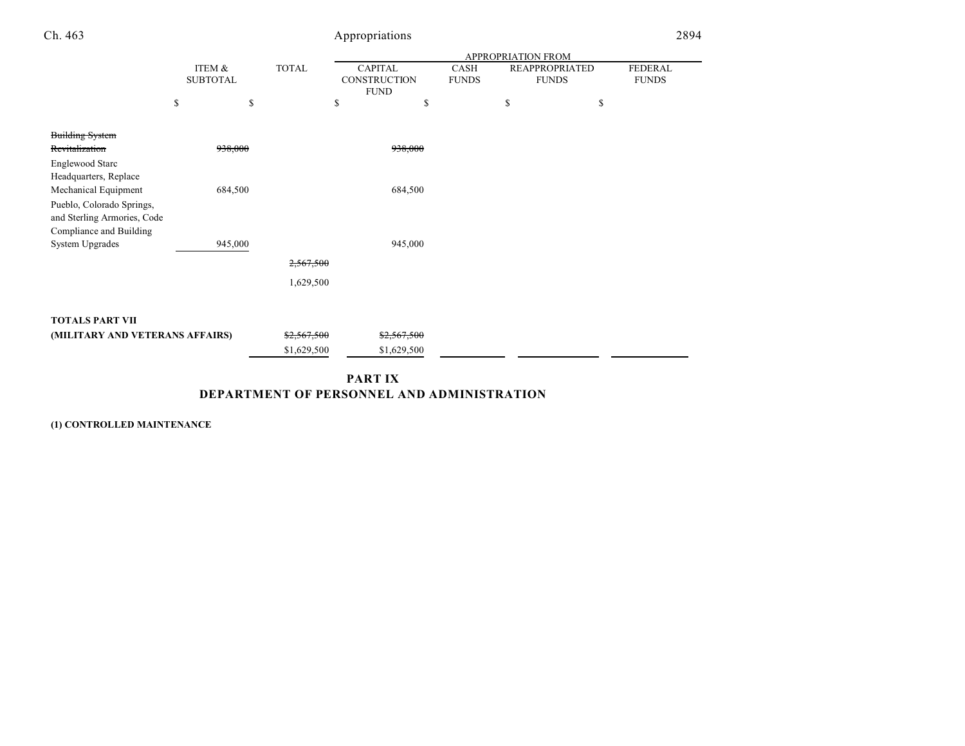| Ch. 463                                                                                                     |                           |         |              | Appropriations                                |    |                      |                                       |    | 2894                           |
|-------------------------------------------------------------------------------------------------------------|---------------------------|---------|--------------|-----------------------------------------------|----|----------------------|---------------------------------------|----|--------------------------------|
|                                                                                                             |                           |         |              | APPROPRIATION FROM                            |    |                      |                                       |    |                                |
|                                                                                                             | ITEM &<br><b>SUBTOTAL</b> |         | <b>TOTAL</b> | <b>CAPITAL</b><br>CONSTRUCTION<br><b>FUND</b> |    | CASH<br><b>FUNDS</b> | <b>REAPPROPRIATED</b><br><b>FUNDS</b> |    | <b>FEDERAL</b><br><b>FUNDS</b> |
|                                                                                                             | \$                        | \$      |              | \$                                            | \$ | \$                   |                                       | \$ |                                |
| <b>Building System</b><br>Revitalization                                                                    |                           | 938,000 |              | 938,000                                       |    |                      |                                       |    |                                |
| <b>Englewood Starc</b><br>Headquarters, Replace                                                             |                           |         |              |                                               |    |                      |                                       |    |                                |
| Mechanical Equipment<br>Pueblo, Colorado Springs,<br>and Sterling Armories, Code<br>Compliance and Building |                           | 684,500 |              | 684,500                                       |    |                      |                                       |    |                                |
| System Upgrades                                                                                             |                           | 945,000 |              | 945,000                                       |    |                      |                                       |    |                                |
|                                                                                                             |                           |         | 2,567,500    |                                               |    |                      |                                       |    |                                |
|                                                                                                             |                           |         | 1,629,500    |                                               |    |                      |                                       |    |                                |
| <b>TOTALS PART VII</b>                                                                                      |                           |         |              |                                               |    |                      |                                       |    |                                |
| (MILITARY AND VETERANS AFFAIRS)                                                                             |                           |         | \$2,567,500  | \$2,567,500                                   |    |                      |                                       |    |                                |
|                                                                                                             |                           |         | \$1,629,500  | \$1,629,500                                   |    |                      |                                       |    |                                |
|                                                                                                             |                           |         |              |                                               |    |                      |                                       |    |                                |

**PART IX DEPARTMENT OF PERSONNEL AND ADMINISTRATION**

**(1) CONTROLLED MAINTENANCE**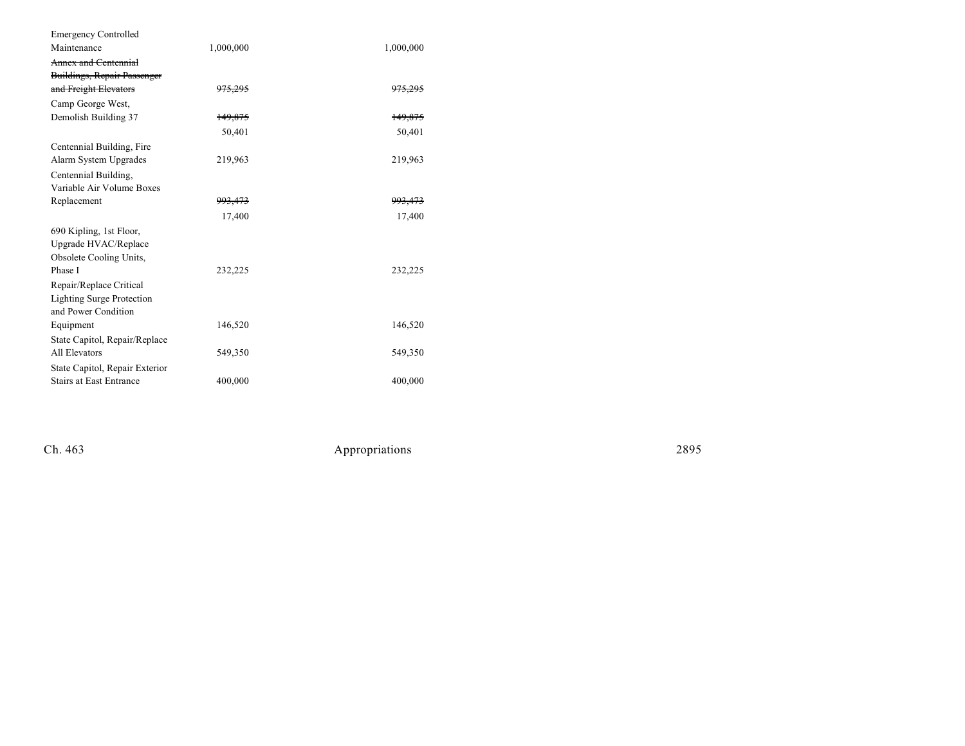| <b>Emergency Controlled</b>        |                    |                    |
|------------------------------------|--------------------|--------------------|
| Maintenance                        | 1,000,000          | 1,000,000          |
| Annex and Centennial               |                    |                    |
| <b>Buildings, Repair Passenger</b> |                    |                    |
| and Freight Elevators              | 975,295            | <del>975.295</del> |
| Camp George West,                  |                    |                    |
| Demolish Building 37               | 149,875            | 149,875            |
|                                    | 50,401             | 50,401             |
| Centennial Building, Fire          |                    |                    |
| Alarm System Upgrades              | 219,963            | 219,963            |
| Centennial Building,               |                    |                    |
| Variable Air Volume Boxes          |                    |                    |
| Replacement                        | <del>993,473</del> | <del>993,473</del> |
|                                    | 17,400             | 17,400             |
| 690 Kipling, 1st Floor,            |                    |                    |
| Upgrade HVAC/Replace               |                    |                    |
| Obsolete Cooling Units,            |                    |                    |
| Phase I                            | 232,225            | 232,225            |
| Repair/Replace Critical            |                    |                    |
| <b>Lighting Surge Protection</b>   |                    |                    |
| and Power Condition                |                    |                    |
| Equipment                          | 146,520            | 146,520            |
| State Capitol, Repair/Replace      |                    |                    |
| All Elevators                      | 549,350            | 549,350            |
| State Capitol, Repair Exterior     |                    |                    |
| <b>Stairs at East Entrance</b>     | 400,000            | 400,000            |
|                                    |                    |                    |

Ch. 463

Appropr iat

ions 2895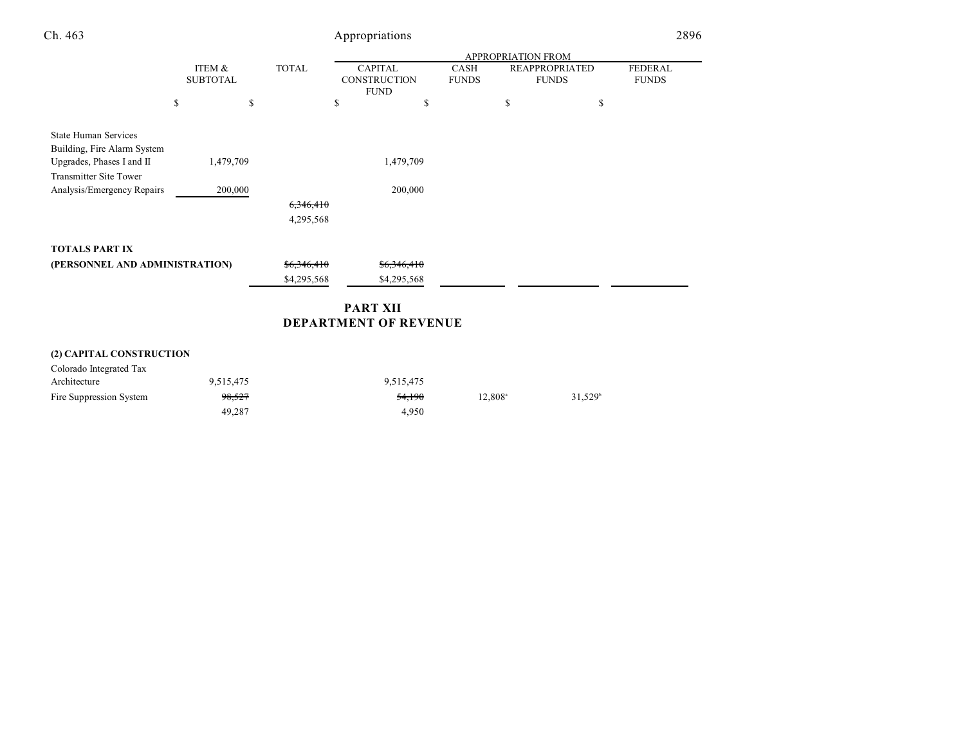| Ch. 463                                                                                                                  |                           |           |                      | Appropriations                                       |                              |                             |                           |                                       | 2896                           |
|--------------------------------------------------------------------------------------------------------------------------|---------------------------|-----------|----------------------|------------------------------------------------------|------------------------------|-----------------------------|---------------------------|---------------------------------------|--------------------------------|
|                                                                                                                          |                           |           |                      |                                                      |                              |                             | <b>APPROPRIATION FROM</b> |                                       |                                |
|                                                                                                                          | ITEM &<br><b>SUBTOTAL</b> |           | <b>TOTAL</b>         | <b>CAPITAL</b><br><b>CONSTRUCTION</b><br><b>FUND</b> |                              | <b>CASH</b><br><b>FUNDS</b> |                           | <b>REAPPROPRIATED</b><br><b>FUNDS</b> | <b>FEDERAL</b><br><b>FUNDS</b> |
|                                                                                                                          | \$                        | \$        |                      | \$                                                   | \$                           |                             | \$                        | \$                                    |                                |
| <b>State Human Services</b><br>Building, Fire Alarm System<br>Upgrades, Phases I and II<br><b>Transmitter Site Tower</b> |                           | 1,479,709 |                      |                                                      | 1,479,709                    |                             |                           |                                       |                                |
| Analysis/Emergency Repairs                                                                                               |                           | 200,000   |                      |                                                      | 200,000                      |                             |                           |                                       |                                |
|                                                                                                                          |                           |           | <del>6,346,410</del> |                                                      |                              |                             |                           |                                       |                                |
|                                                                                                                          |                           |           | 4,295,568            |                                                      |                              |                             |                           |                                       |                                |
| <b>TOTALS PART IX</b>                                                                                                    |                           |           |                      |                                                      |                              |                             |                           |                                       |                                |
| (PERSONNEL AND ADMINISTRATION)                                                                                           |                           |           | \$6,346,410          |                                                      | \$6,346,410                  |                             |                           |                                       |                                |
|                                                                                                                          |                           |           | \$4,295,568          |                                                      | \$4,295,568                  |                             |                           |                                       |                                |
|                                                                                                                          |                           |           |                      | <b>PART XII</b>                                      |                              |                             |                           |                                       |                                |
|                                                                                                                          |                           |           |                      |                                                      | <b>DEPARTMENT OF REVENUE</b> |                             |                           |                                       |                                |

# **(2) CAPITAL CONSTRUCTION**

| Colorado Integrated Tax |           |           |                  |                  |
|-------------------------|-----------|-----------|------------------|------------------|
| Architecture            | 9,515,475 | 9,515,475 |                  |                  |
| Fire Suppression System | 98.527    | 54.190    | $12.808^{\circ}$ | $31.529^{\circ}$ |
|                         | 49.287    | 4.950     |                  |                  |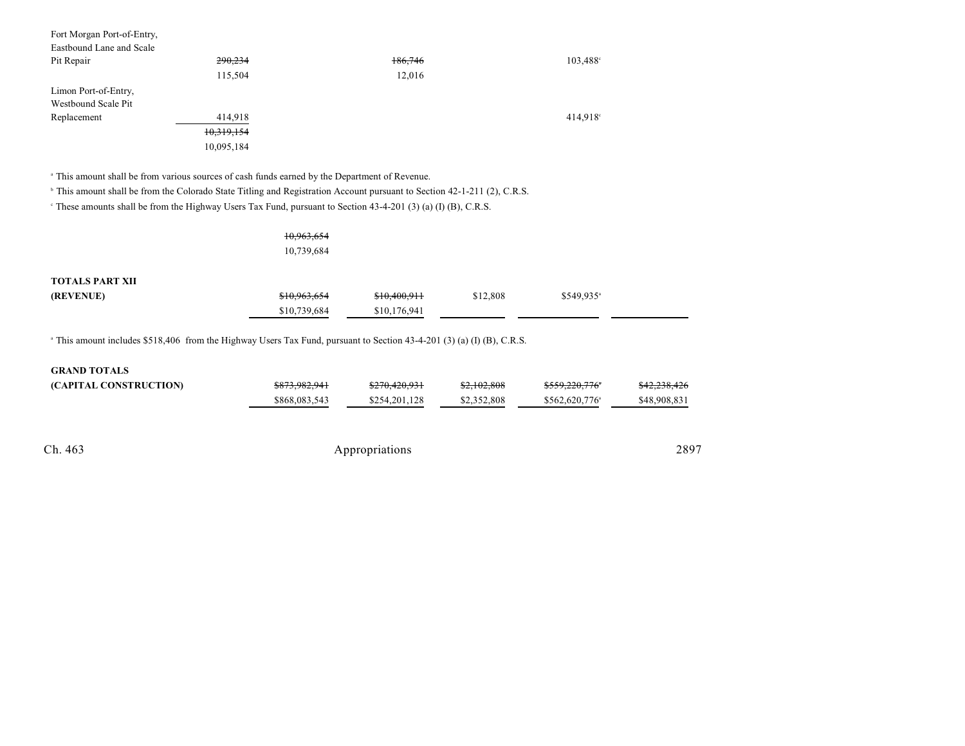| Fort Morgan Port-of-Entry,<br>Eastbound Lane and Scale |            |         |                   |
|--------------------------------------------------------|------------|---------|-------------------|
| Pit Repair                                             | 290,234    | 186,746 | $103,488^{\circ}$ |
|                                                        | 115,504    | 12,016  |                   |
| Limon Port-of-Entry,                                   |            |         |                   |
| Westbound Scale Pit                                    |            |         |                   |
| Replacement                                            | 414.918    |         | 414,918°          |
|                                                        | 10,319,154 |         |                   |
|                                                        | 10,095,184 |         |                   |

<sup>a</sup> This amount shall be from various sources of cash funds earned by the Department of Revenue.

<sup>h</sup> This amount shall be from the Colorado State Titling and Registration Account pursuant to Section 42-1-211 (2), C.R.S.

These amounts shall be from the Highway Users Tax Fund, pursuant to Section  $43-4-201$  (3) (a) (I) (B), C.R.S.

|                        | 10,963,654<br>10,739,684 |              |          |                         |  |
|------------------------|--------------------------|--------------|----------|-------------------------|--|
| <b>TOTALS PART XII</b> |                          |              |          |                         |  |
| (REVENUE)              | \$10,963,654             | \$10,400,911 | \$12,808 | $$549,935$ <sup>a</sup> |  |
|                        | \$10,739,684             | \$10,176,941 |          |                         |  |

 $\alpha$  This amount includes \$518,406 from the Highway Users Tax Fund, pursuant to Section 43-4-201 (3) (a) (I) (B), C.R.S.

| <b>GRAND TOTALS</b>    |                          |               |             |                             |                         |
|------------------------|--------------------------|---------------|-------------|-----------------------------|-------------------------|
| (CAPITAL CONSTRUCTION) | <del>\$873,982,941</del> | \$270,420,931 | \$2,102,808 | <del>\$559,220,776</del> *  | <del>\$42,238,426</del> |
|                        | \$868,083,543            | \$254,201,128 | \$2,352,808 | $$562,620,776$ <sup>a</sup> | \$48,908,831            |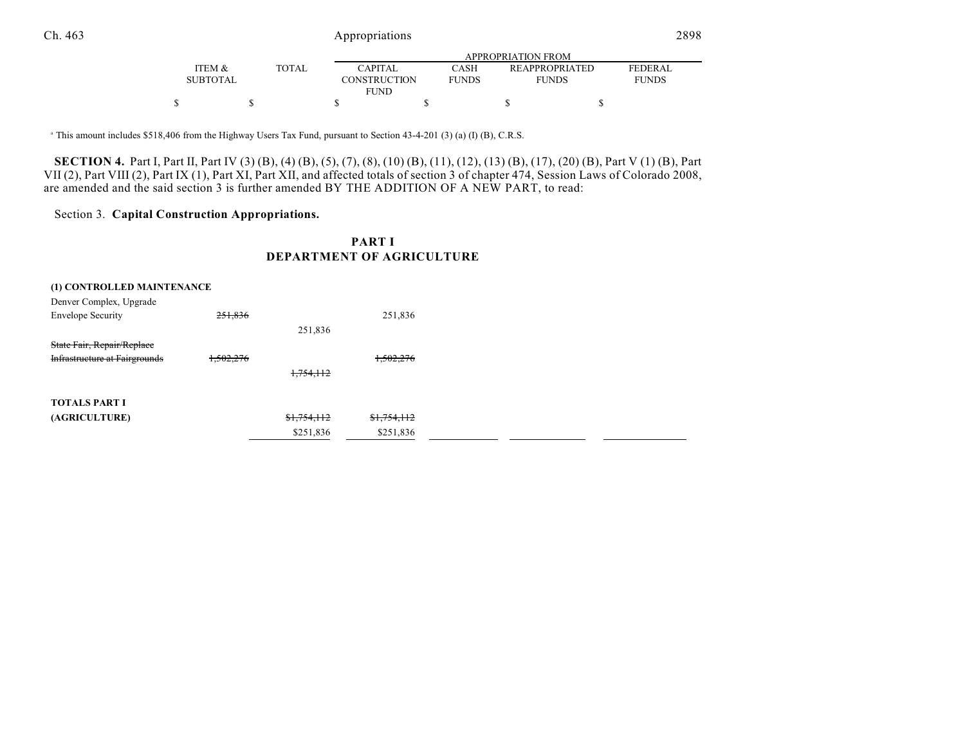|                   |              |                     |              | APPROPRIATION FROM    |                |
|-------------------|--------------|---------------------|--------------|-----------------------|----------------|
| <b>ITEM &amp;</b> | <b>TOTAL</b> | <b>CAPITAL</b>      | CASH         | <b>REAPPROPRIATED</b> | <b>FEDERAL</b> |
| <b>SUBTOTAL</b>   |              | <b>CONSTRUCTION</b> | <b>FUNDS</b> | <b>FUNDS</b>          | <b>FUNDS</b>   |
|                   |              | <b>FUND</b>         |              |                       |                |
|                   |              |                     |              |                       |                |

<sup>a</sup> This amount includes \$518,406 from the Highway Users Tax Fund, pursuant to Section 43-4-201 (3) (a) (I) (B), C.R.S.

**SECTION 4.** Part I, Part II, Part IV (3) (B), (4) (B), (5), (7), (8), (10) (B), (11), (12), (13) (B), (17), (20) (B), Part V (1) (B), Part VII (2), Part VIII (2), Part IX (1), Part XI, Part XII, and affected totals of section 3 of chapter 474, Session Laws of Colorado 2008, are amended and the said section 3 is further amended BY THE ADDITION OF A NEW PART, to read:

## Section 3. **Capital Construction Appropriations.**

## **PART I DEPARTMENT OF AGRICULTURE**

| (1) CONTROLLED MAINTENANCE           |           |             |             |
|--------------------------------------|-----------|-------------|-------------|
| Denver Complex, Upgrade              |           |             |             |
| <b>Envelope Security</b>             | 251,836   |             | 251,836     |
|                                      |           | 251,836     |             |
| State Fair, Repair/Replace           |           |             |             |
| <b>Infrastructure at Fairgrounds</b> | 1,502,276 |             | 1,502,276   |
|                                      |           | 1,754,112   |             |
|                                      |           |             |             |
| <b>TOTALS PART I</b>                 |           |             |             |
| (AGRICULTURE)                        |           | \$1,754,112 | \$1,754,112 |
|                                      |           | \$251,836   | \$251,836   |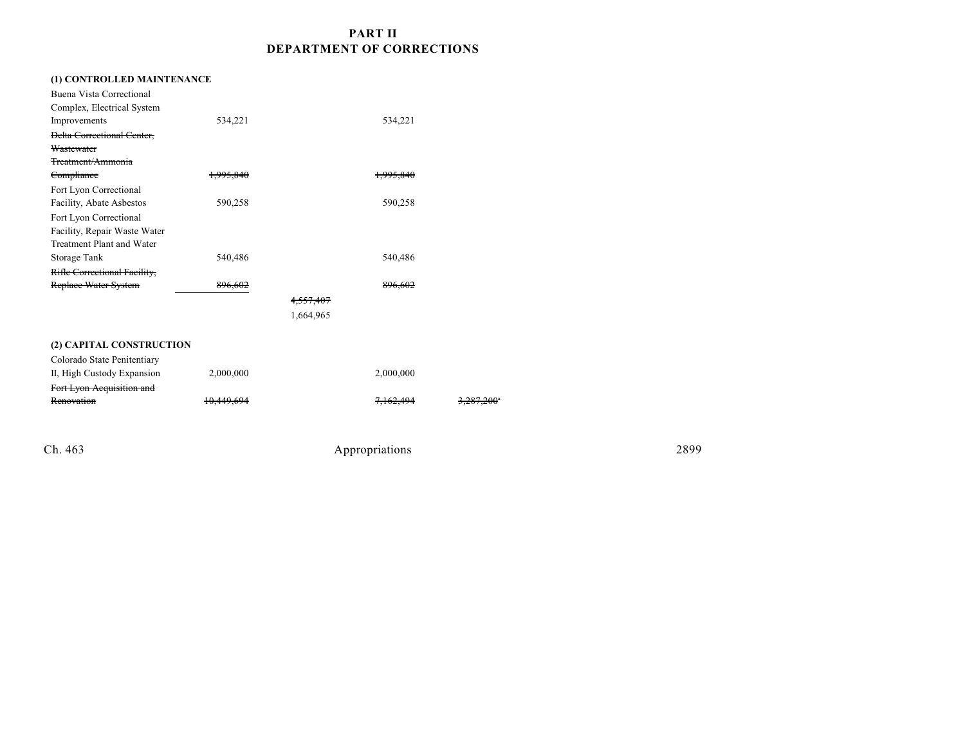# **PART II DEPARTMENT OF CORRECTIONS**

| (1) CONTROLLED MAINTENANCE        |           |                      |           |  |
|-----------------------------------|-----------|----------------------|-----------|--|
| Buena Vista Correctional          |           |                      |           |  |
| Complex, Electrical System        |           |                      |           |  |
| Improvements                      | 534,221   |                      | 534,221   |  |
| <b>Delta Correctional Center,</b> |           |                      |           |  |
| Wastewater                        |           |                      |           |  |
| Treatment/Ammonia                 |           |                      |           |  |
| Compliance                        | 1,995,840 |                      | 1.995.840 |  |
| Fort Lyon Correctional            |           |                      |           |  |
| Facility, Abate Asbestos          | 590,258   |                      | 590,258   |  |
| Fort Lyon Correctional            |           |                      |           |  |
| Facility, Repair Waste Water      |           |                      |           |  |
| Treatment Plant and Water         |           |                      |           |  |
| Storage Tank                      | 540,486   |                      | 540,486   |  |
| Rifle Correctional Facility,      |           |                      |           |  |
| Replace Water System              | 896,602   |                      | 896.602   |  |
|                                   |           | <del>4,557,407</del> |           |  |
|                                   |           | 1,664,965            |           |  |
|                                   |           |                      |           |  |
| (2) CAPITAL CONSTRUCTION          |           |                      |           |  |
| Colorado State Penitentiary       |           |                      |           |  |
| II, High Custody Expansion        | 2,000,000 |                      | 2,000,000 |  |
| Fort Lyon Acquisition and         |           |                      |           |  |
| Renovation                        |           |                      |           |  |
|                                   |           |                      |           |  |
|                                   |           |                      |           |  |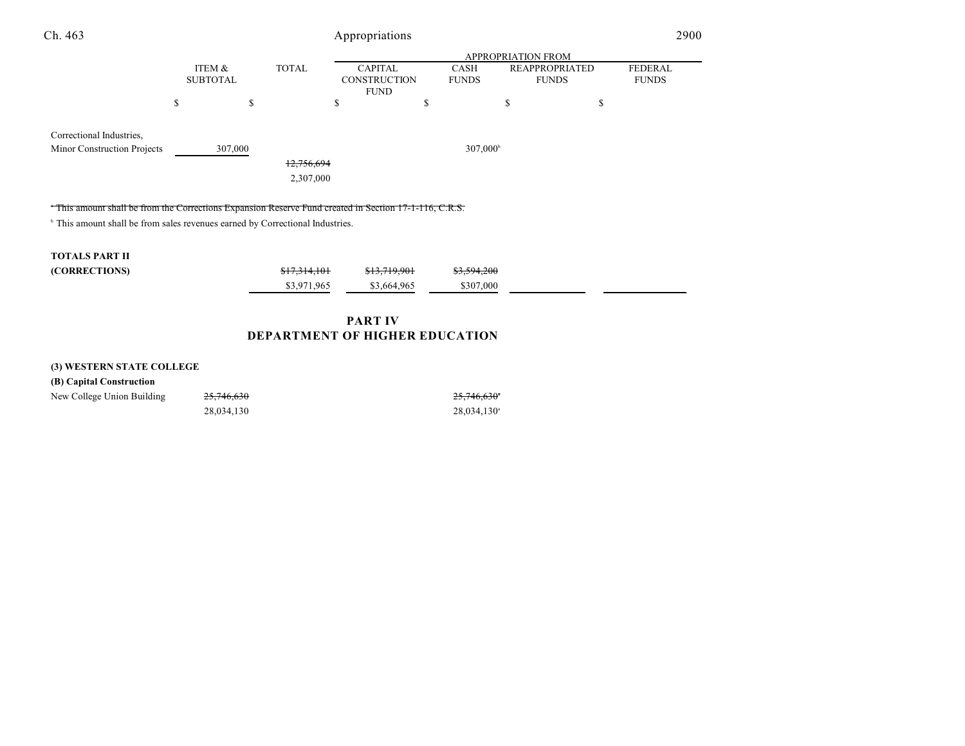| Ch. 463                                                                                              |                           |                         | Appropriations                                       |                             |                                       | 2900                           |
|------------------------------------------------------------------------------------------------------|---------------------------|-------------------------|------------------------------------------------------|-----------------------------|---------------------------------------|--------------------------------|
|                                                                                                      |                           |                         |                                                      |                             |                                       |                                |
|                                                                                                      | ITEM &<br><b>SUBTOTAL</b> | <b>TOTAL</b>            | <b>CAPITAL</b><br><b>CONSTRUCTION</b><br><b>FUND</b> | <b>CASH</b><br><b>FUNDS</b> | <b>REAPPROPRIATED</b><br><b>FUNDS</b> | <b>FEDERAL</b><br><b>FUNDS</b> |
|                                                                                                      | \$<br>\$.                 |                         | \$                                                   | S                           | \$                                    | \$                             |
| Correctional Industries,<br>Minor Construction Projects                                              | 307,000                   | 12,756,694<br>2,307,000 |                                                      | 307,000 <sup>b</sup>        |                                       |                                |
| This amount shall be from the Corrections Expansion Reserve Fund created in Section 17-1-116, C.R.S. |                           |                         |                                                      |                             |                                       |                                |
| <sup>b</sup> This amount shall be from sales revenues earned by Correctional Industries.             |                           |                         |                                                      |                             |                                       |                                |
| <b>TOTALS PART II</b>                                                                                |                           |                         |                                                      |                             |                                       |                                |
| (CORRECTIONS)                                                                                        |                           | \$17,314,101            | \$13,719,901                                         | \$3,594,200                 |                                       |                                |
|                                                                                                      |                           | \$3,971,965             | \$3,664,965                                          | \$307,000                   |                                       |                                |
|                                                                                                      |                           |                         | <b>PART IV</b>                                       |                             |                                       |                                |

# **DEPARTMENT OF HIGHER EDUCATION**

### **(3) WESTERN STATE COLLEGE**

 $25,746,630$ 28,034,130<sup>a</sup> 28,034,130<sup>a</sup>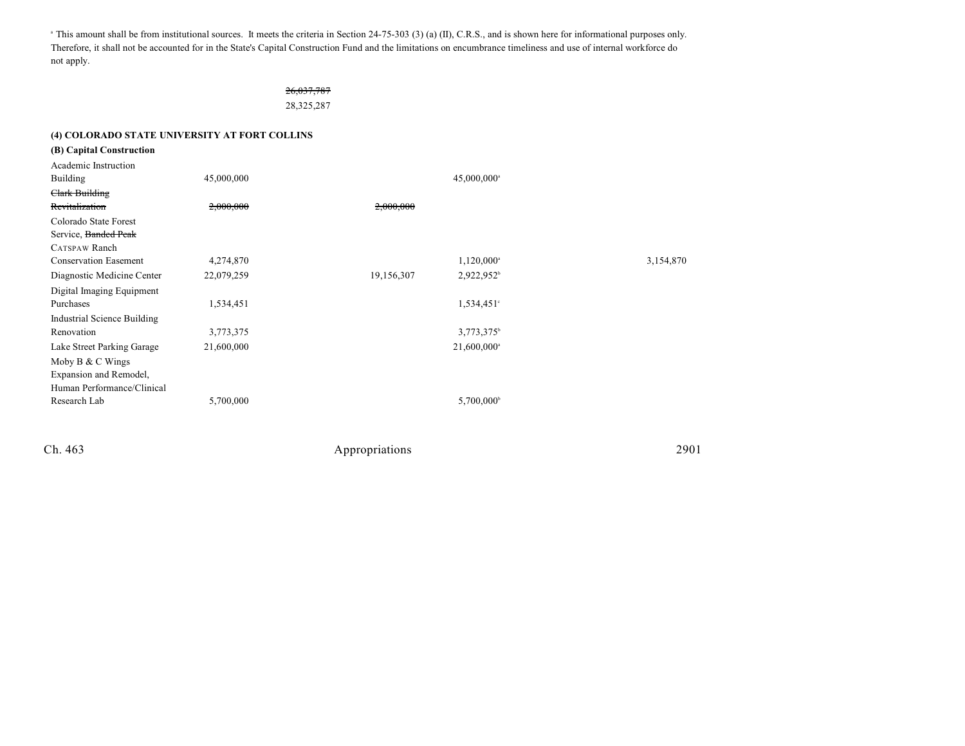This amount shall be from institutional sources. It meets the criteria in Section 24-75-303 (3) (a) (II), C.R.S., and is shown here for informational purposes only. Therefore, it shall not be accounted for in the State's Capital Construction Fund and the limitations on encumbrance timeliness and use of internal workforce do not apply.

> 26,037,787 28,325,287

### **(4) COLORADO STATE UNIVERSITY AT FORT COLLINS**

| (B) Capital Construction     |            |            |                           |           |
|------------------------------|------------|------------|---------------------------|-----------|
| Academic Instruction         |            |            |                           |           |
| Building                     | 45,000,000 |            | $45,000,000$ <sup>a</sup> |           |
| Clark Building               |            |            |                           |           |
| Revitalization               | 2,000,000  | 2,000,000  |                           |           |
| Colorado State Forest        |            |            |                           |           |
| Service, Banded Peak         |            |            |                           |           |
| CATSPAW Ranch                |            |            |                           |           |
| <b>Conservation Easement</b> | 4,274,870  |            | $1,120,000^{\circ}$       | 3,154,870 |
| Diagnostic Medicine Center   | 22,079,259 | 19,156,307 | 2,922,952 <sup>b</sup>    |           |
| Digital Imaging Equipment    |            |            |                           |           |
| Purchases                    | 1,534,451  |            | 1,534,451°                |           |
| Industrial Science Building  |            |            |                           |           |
| Renovation                   | 3,773,375  |            | 3,773,375 <sup>b</sup>    |           |
| Lake Street Parking Garage   | 21,600,000 |            | 21,600,000 <sup>a</sup>   |           |
| Moby $B & C$ Wings           |            |            |                           |           |
| Expansion and Remodel,       |            |            |                           |           |
| Human Performance/Clinical   |            |            |                           |           |
| Research Lab                 | 5,700,000  |            | 5,700,000 <sup>b</sup>    |           |
|                              |            |            |                           |           |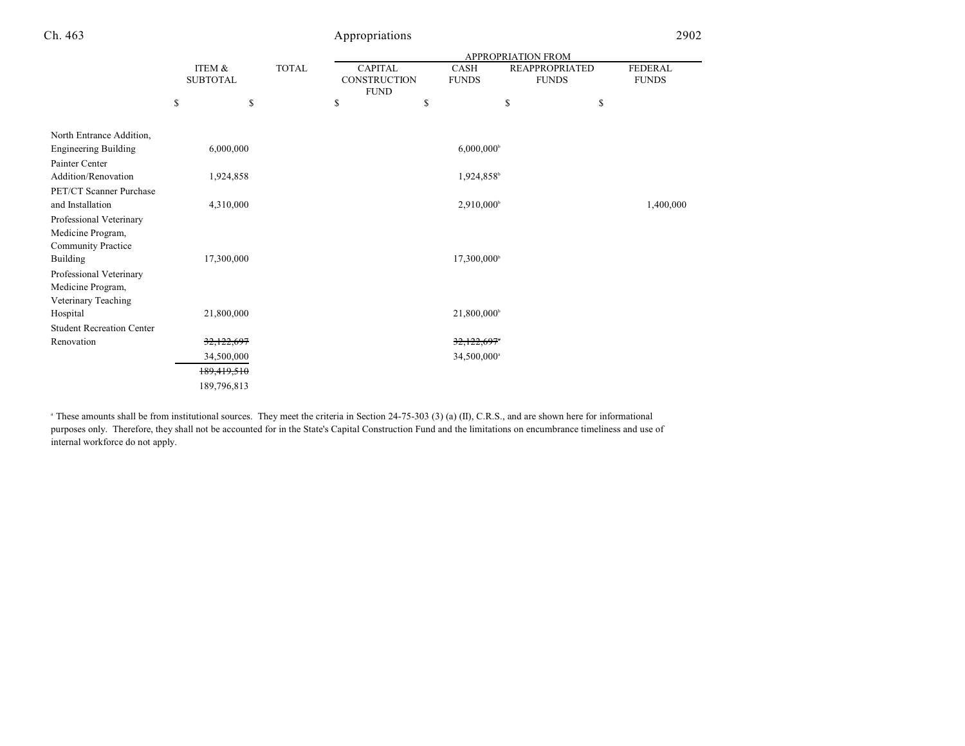|                                                |                           |             |              |                                               |                             | <b>APPROPRIATION FROM</b> |                                       |                                |
|------------------------------------------------|---------------------------|-------------|--------------|-----------------------------------------------|-----------------------------|---------------------------|---------------------------------------|--------------------------------|
|                                                | ITEM &<br><b>SUBTOTAL</b> |             | <b>TOTAL</b> | <b>CAPITAL</b><br>CONSTRUCTION<br><b>FUND</b> | <b>CASH</b><br><b>FUNDS</b> |                           | <b>REAPPROPRIATED</b><br><b>FUNDS</b> | <b>FEDERAL</b><br><b>FUNDS</b> |
|                                                | \$                        | \$          |              | \$                                            | \$                          | \$                        | \$                                    |                                |
| North Entrance Addition,                       |                           |             |              |                                               |                             |                           |                                       |                                |
| <b>Engineering Building</b>                    |                           | 6,000,000   |              |                                               | $6,000,000$ <sup>b</sup>    |                           |                                       |                                |
| Painter Center                                 |                           |             |              |                                               |                             |                           |                                       |                                |
| Addition/Renovation<br>PET/CT Scanner Purchase |                           | 1,924,858   |              |                                               | 1,924,858 <sup>b</sup>      |                           |                                       |                                |
| and Installation                               |                           | 4,310,000   |              |                                               | 2,910,000                   |                           |                                       | 1,400,000                      |
| Professional Veterinary                        |                           |             |              |                                               |                             |                           |                                       |                                |
| Medicine Program,                              |                           |             |              |                                               |                             |                           |                                       |                                |
| <b>Community Practice</b>                      |                           |             |              |                                               |                             |                           |                                       |                                |
| Building                                       |                           | 17,300,000  |              |                                               | 17,300,000 <sup>b</sup>     |                           |                                       |                                |
| Professional Veterinary<br>Medicine Program,   |                           |             |              |                                               |                             |                           |                                       |                                |
| Veterinary Teaching                            |                           |             |              |                                               |                             |                           |                                       |                                |
| Hospital                                       |                           | 21,800,000  |              |                                               | 21,800,000 <sup>b</sup>     |                           |                                       |                                |
| <b>Student Recreation Center</b>               |                           |             |              |                                               |                             |                           |                                       |                                |
| Renovation                                     |                           | 32,122,697  |              |                                               | 32,122,697*                 |                           |                                       |                                |
|                                                |                           | 34,500,000  |              |                                               | 34,500,000 <sup>a</sup>     |                           |                                       |                                |
|                                                |                           | 189,419,510 |              |                                               |                             |                           |                                       |                                |
|                                                |                           | 189,796,813 |              |                                               |                             |                           |                                       |                                |

<sup>a</sup> These amounts shall be from institutional sources. They meet the criteria in Section 24-75-303 (3) (a) (II), C.R.S., and are shown here for informational purposes only. Therefore, they shall not be accounted for in the State's Capital Construction Fund and the limitations on encumbrance timeliness and use of internal workforce do not apply.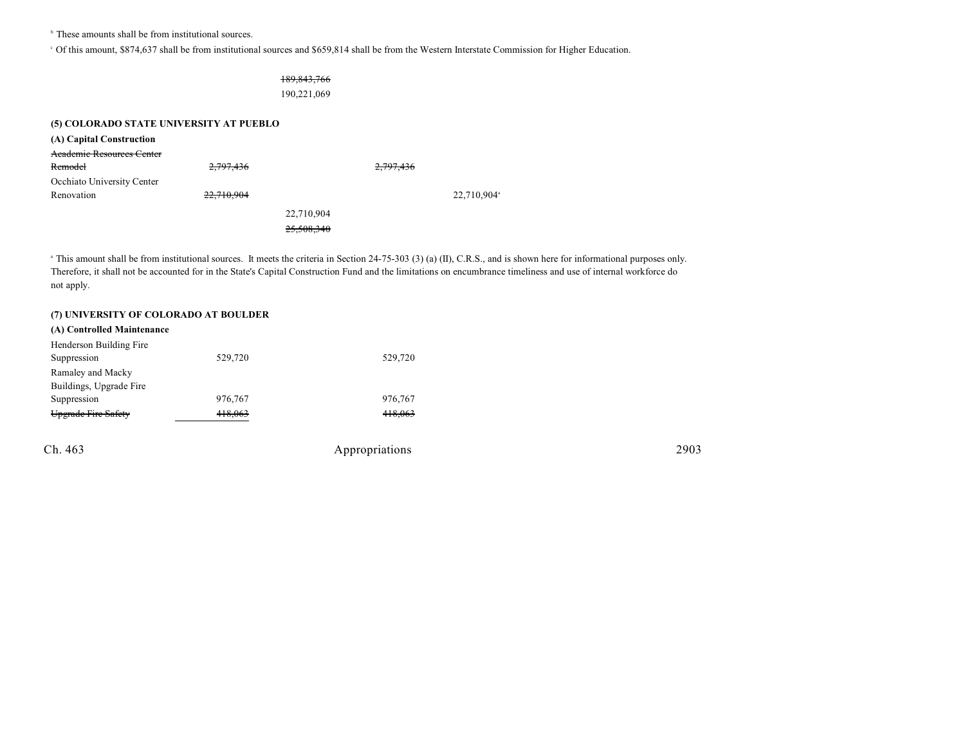$\overline{b}$  These amounts shall be from institutional sources.

Of this amount, \$874,637 shall be from institutional sources and \$659,814 shall be from the Western Interstate Commission for Higher Education. <sup>c</sup>

### 189,843,766

190,221,069

## **(5) COLORADO STATE UNIVERSITY AT PUEBLO**

| (A) Capital Construction         |            |            |           |            |
|----------------------------------|------------|------------|-----------|------------|
| <b>Academic Resources Center</b> |            |            |           |            |
| Remodel                          | 2,797,436  |            | 2,797,436 |            |
| Occhiato University Center       |            |            |           |            |
| Renovation                       | 22,710,904 |            |           | 22,710,904 |
|                                  |            | 22,710,904 |           |            |
|                                  |            | 25,508,340 |           |            |

<sup>a</sup> This amount shall be from institutional sources. It meets the criteria in Section 24-75-303 (3) (a) (II), C.R.S., and is shown here for informational purposes only. Therefore, it shall not be accounted for in the State's Capital Construction Fund and the limitations on encumbrance timeliness and use of internal workforce do not apply.

#### **(7) UNIVERSITY OF COLORADO AT BOULDER**

| (A) Controlled Maintenance |         |         |
|----------------------------|---------|---------|
| Henderson Building Fire    |         |         |
| Suppression                | 529,720 | 529,720 |
| Ramaley and Macky          |         |         |
| Buildings, Upgrade Fire    |         |         |
| Suppression                | 976,767 | 976,767 |
| Upgrade Fire Safety        | 418.063 | 418.063 |
|                            |         |         |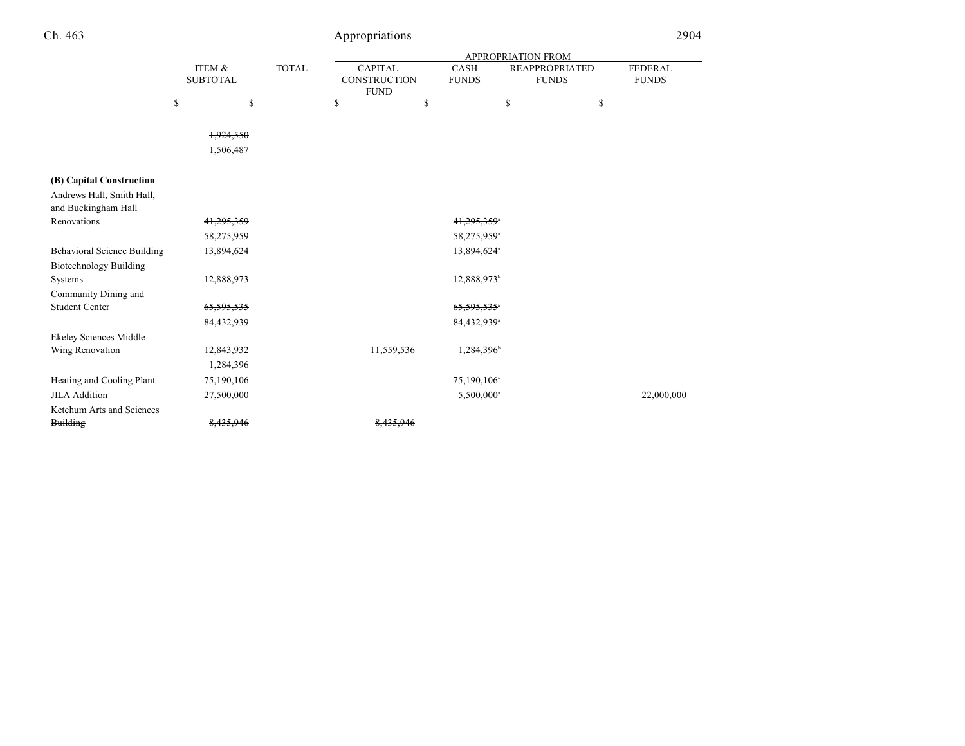| n | 46. |
|---|-----|
|   |     |

# Appropriations 2904

|                                                     |                           |              |                                               |                             | APPROPRIATION FROM                    |                                |
|-----------------------------------------------------|---------------------------|--------------|-----------------------------------------------|-----------------------------|---------------------------------------|--------------------------------|
|                                                     | ITEM &<br><b>SUBTOTAL</b> | <b>TOTAL</b> | <b>CAPITAL</b><br>CONSTRUCTION<br><b>FUND</b> | <b>CASH</b><br><b>FUNDS</b> | <b>REAPPROPRIATED</b><br><b>FUNDS</b> | <b>FEDERAL</b><br><b>FUNDS</b> |
|                                                     | \$                        | \$           | \$                                            | \$                          | \$                                    | \$                             |
|                                                     | 1,924,550                 |              |                                               |                             |                                       |                                |
|                                                     | 1,506,487                 |              |                                               |                             |                                       |                                |
| (B) Capital Construction                            |                           |              |                                               |                             |                                       |                                |
| Andrews Hall, Smith Hall,<br>and Buckingham Hall    |                           |              |                                               |                             |                                       |                                |
| Renovations                                         | 41,295,359                |              |                                               | 41,295,359*                 |                                       |                                |
|                                                     | 58,275,959                |              |                                               | 58,275,959 <sup>a</sup>     |                                       |                                |
| <b>Behavioral Science Building</b>                  | 13,894,624                |              |                                               | 13,894,624 <sup>a</sup>     |                                       |                                |
| <b>Biotechnology Building</b>                       |                           |              |                                               |                             |                                       |                                |
| Systems                                             | 12,888,973                |              |                                               | 12,888,973 <sup>b</sup>     |                                       |                                |
| Community Dining and                                |                           |              |                                               |                             |                                       |                                |
| <b>Student Center</b>                               | 65,595,535                |              |                                               | 65,595,535*                 |                                       |                                |
|                                                     | 84,432,939                |              |                                               | 84,432,939 <sup>a</sup>     |                                       |                                |
| <b>Ekeley Sciences Middle</b>                       |                           |              |                                               |                             |                                       |                                |
| Wing Renovation                                     | 12,843,932                |              | tt,5                                          | 1,284,396                   |                                       |                                |
|                                                     | 1,284,396                 |              |                                               |                             |                                       |                                |
| Heating and Cooling Plant                           | 75,190,106                |              |                                               | 75,190,106 <sup>a</sup>     |                                       |                                |
| <b>JILA Addition</b>                                | 27,500,000                |              |                                               | 5,500,000 <sup>a</sup>      |                                       | 22,000,000                     |
| <b>Ketchum Arts and Sciences</b><br><b>Building</b> | 8.433.7                   |              |                                               |                             |                                       |                                |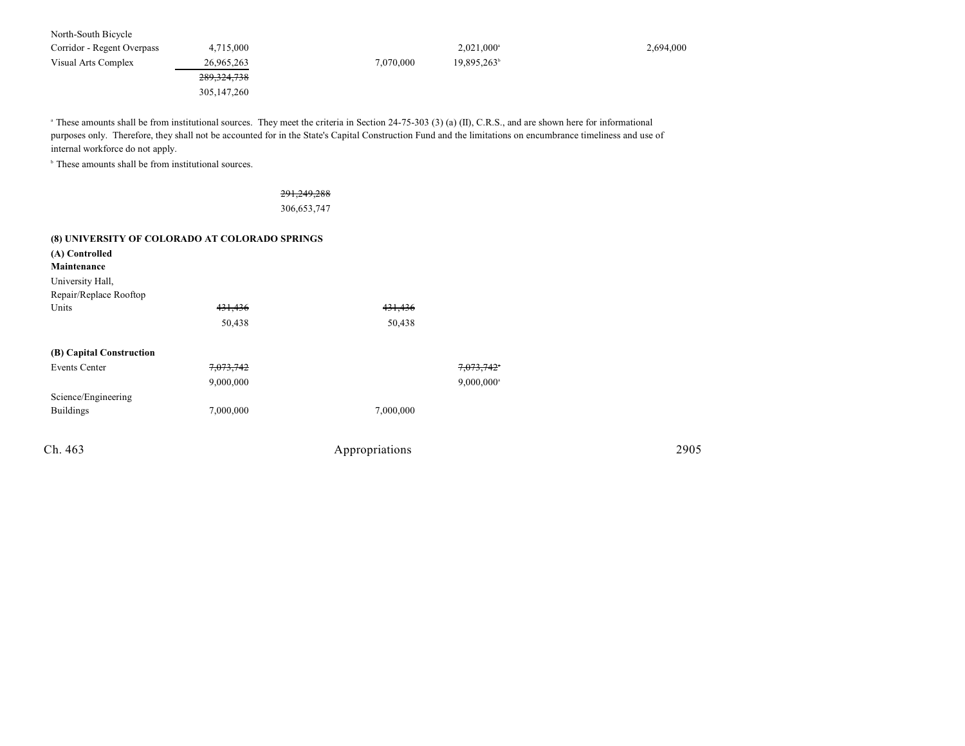North-South Bicycle Corridor - Regent Overpass 4,715,000 4,715,000 2,694,000 2,694,000 2,694,000 Visual Arts Complex 26,965,263 7,070,000 19,895,263b 289,324,738 305,147,260

<sup>a</sup> These amounts shall be from institutional sources. They meet the criteria in Section 24-75-303 (3) (a) (II), C.R.S., and are shown here for informational purposes only. Therefore, they shall not be accounted for in the State's Capital Construction Fund and the limitations on encumbrance timeliness and use of internal workforce do not apply.

 $\,^{\circ}$  These amounts shall be from institutional sources.

291,249,288 306,653,747

#### **(8) UNIVERSITY OF COLORADO AT COLORADO SPRINGS**

| 431,436              | 431,436   |                          |      |
|----------------------|-----------|--------------------------|------|
| 50,438               | 50,438    |                          |      |
|                      |           |                          |      |
| <del>7,073,742</del> |           | 7,073,742                |      |
| 9,000,000            |           | $9,000,000$ <sup>a</sup> |      |
|                      |           |                          |      |
| 7,000,000            | 7,000,000 |                          |      |
|                      |           |                          | 2905 |
|                      |           | Appropriations           |      |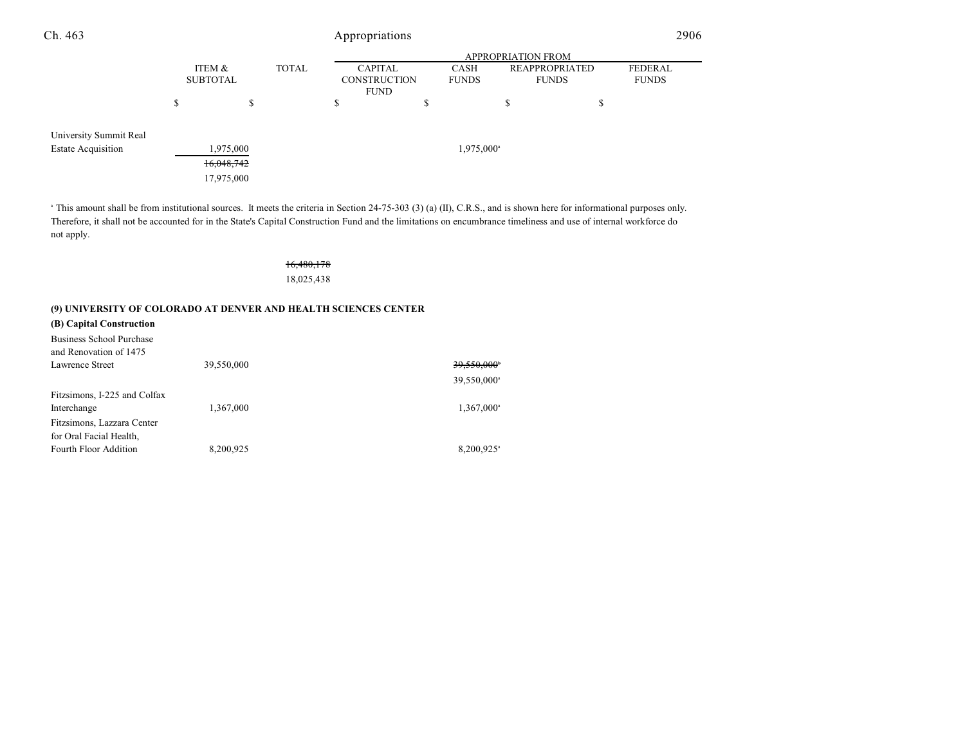| Ch. 463                   | Appropriations  |            |              |                     | 2906                   |                           |   |                |
|---------------------------|-----------------|------------|--------------|---------------------|------------------------|---------------------------|---|----------------|
|                           |                 |            |              |                     |                        | <b>APPROPRIATION FROM</b> |   |                |
|                           | ITEM &          |            | <b>TOTAL</b> | <b>CAPITAL</b>      | <b>CASH</b>            | <b>REAPPROPRIATED</b>     |   | <b>FEDERAL</b> |
|                           | <b>SUBTOTAL</b> |            |              | <b>CONSTRUCTION</b> | <b>FUNDS</b>           | <b>FUNDS</b>              |   | <b>FUNDS</b>   |
|                           |                 |            |              | <b>FUND</b>         |                        |                           |   |                |
|                           | \$              | \$         |              | \$                  | \$                     | S                         | ъ |                |
| University Summit Real    |                 |            |              |                     |                        |                           |   |                |
| <b>Estate Acquisition</b> |                 | 1,975,000  |              |                     | 1,975,000 <sup>a</sup> |                           |   |                |
|                           |                 | 16,048,742 |              |                     |                        |                           |   |                |
|                           |                 | 17,975,000 |              |                     |                        |                           |   |                |
|                           |                 |            |              |                     |                        |                           |   |                |

<sup>a</sup> This amount shall be from institutional sources. It meets the criteria in Section 24-75-303 (3) (a) (II), C.R.S., and is shown here for informational purposes only. Therefore, it shall not be accounted for in the State's Capital Construction Fund and the limitations on encumbrance timeliness and use of internal workforce do not apply.

## 16,480,178 18,025,438

| (9) UNIVERSITY OF COLORADO AT DENVER AND HEALTH SCIENCES CENTER |            |                          |  |  |  |
|-----------------------------------------------------------------|------------|--------------------------|--|--|--|
| (B) Capital Construction                                        |            |                          |  |  |  |
| Business School Purchase<br>and Renovation of 1475              |            |                          |  |  |  |
| Lawrence Street                                                 | 39,550,000 | 39.550.000               |  |  |  |
|                                                                 |            | 39,550,000 <sup>a</sup>  |  |  |  |
| Fitzsimons, I-225 and Colfax                                    |            |                          |  |  |  |
| Interchange                                                     | 1,367,000  | $1,367,000^{\circ}$      |  |  |  |
| Fitzsimons, Lazzara Center                                      |            |                          |  |  |  |
| for Oral Facial Health,                                         |            |                          |  |  |  |
| Fourth Floor Addition                                           | 8,200,925  | $8.200.925$ <sup>a</sup> |  |  |  |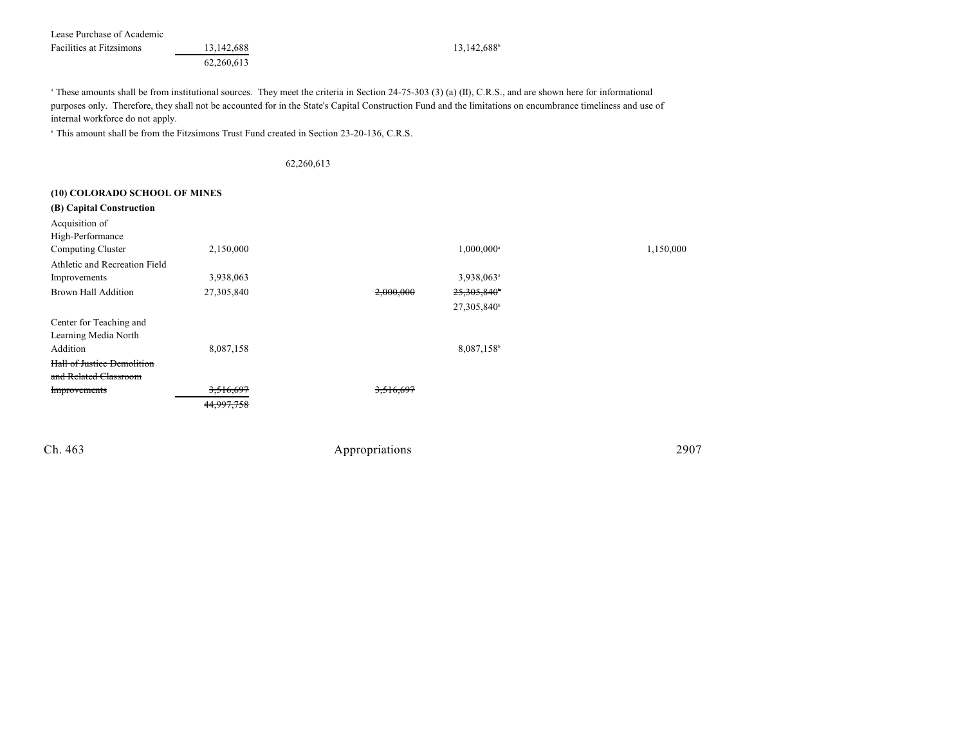| Lease Purchase of Academic      |              |
|---------------------------------|--------------|
| <b>Facilities at Fitzsimons</b> | 13, 142, 688 |
|                                 | 62.260.613   |

# $\frac{42,688}{13,142,688^b}$

<sup>a</sup> These amounts shall be from institutional sources. They meet the criteria in Section 24-75-303 (3) (a) (II), C.R.S., and are shown here for informational purposes only. Therefore, they shall not be accounted for in the State's Capital Construction Fund and the limitations on encumbrance timeliness and use of internal workforce do not apply.

<sup>b</sup> This amount shall be from the Fitzsimons Trust Fund created in Section 23-20-136, C.R.S.

#### 62,260,613

| (10) COLORADO SCHOOL OF MINES     |            |           |                         |           |
|-----------------------------------|------------|-----------|-------------------------|-----------|
| (B) Capital Construction          |            |           |                         |           |
| Acquisition of                    |            |           |                         |           |
| High-Performance                  |            |           |                         |           |
| Computing Cluster                 | 2,150,000  |           | 1,000,000 <sup>a</sup>  | 1,150,000 |
| Athletic and Recreation Field     |            |           |                         |           |
| Improvements                      | 3,938,063  |           | 3,938,063 <sup>a</sup>  |           |
| <b>Brown Hall Addition</b>        | 27,305,840 | 2,000,000 | 25,305,840 <sup>b</sup> |           |
|                                   |            |           | 27,305,840 <sup>b</sup> |           |
| Center for Teaching and           |            |           |                         |           |
| Learning Media North              |            |           |                         |           |
| Addition                          | 8,087,158  |           | 8,087,158               |           |
| <b>Hall of Justice Demolition</b> |            |           |                         |           |
| and Related Classroom             |            |           |                         |           |
| <b>Improvements</b>               | 3,516,697  | 3,516,697 |                         |           |
|                                   | 44,997,758 |           |                         |           |
|                                   |            |           |                         |           |
|                                   |            |           |                         |           |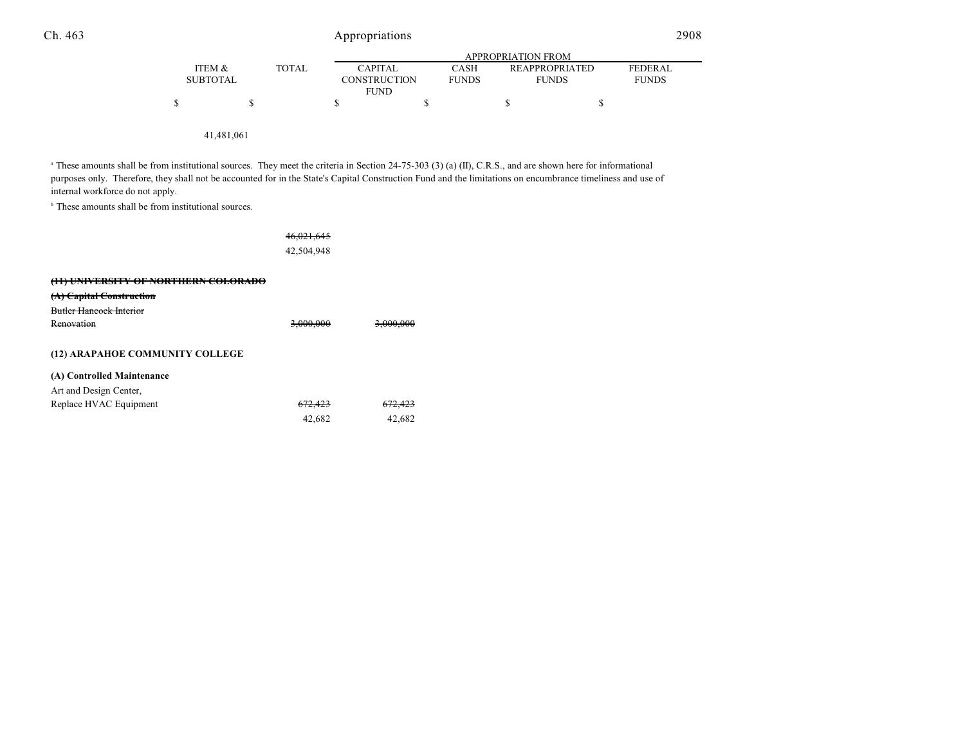|                 |              | APPROPRIATION FROM  |              |                       |                |  |  |
|-----------------|--------------|---------------------|--------------|-----------------------|----------------|--|--|
| ITEM &          | <b>TOTAL</b> | <b>CAPITAL</b>      | <b>CASH</b>  | <b>REAPPROPRIATED</b> | <b>FEDERAL</b> |  |  |
| <b>SUBTOTAL</b> |              | <b>CONSTRUCTION</b> | <b>FUNDS</b> | <b>FUNDS</b>          | <b>FUNDS</b>   |  |  |
|                 |              | <b>FUND</b>         |              |                       |                |  |  |
| S               |              |                     |              |                       |                |  |  |
|                 |              |                     |              |                       |                |  |  |
|                 |              |                     |              |                       |                |  |  |

41,481,061

<sup>a</sup> These amounts shall be from institutional sources. They meet the criteria in Section 24-75-303 (3) (a) (II), C.R.S., and are shown here for informational purposes only. Therefore, they shall not be accounted for in the State's Capital Construction Fund and the limitations on encumbrance timeliness and use of internal workforce do not apply.

 $\,^{\circ}$  These amounts shall be from institutional sources.

|                                                 | 46,021,645<br>42,504,948 |                      |
|-------------------------------------------------|--------------------------|----------------------|
| <del>(11) UNIVERSITY OF NORTHERN COLORADO</del> |                          |                      |
| <del>Capital Construction</del><br>tAi          |                          |                      |
| Butler Hancock Interior                         |                          |                      |
| Renovation                                      | <del>3,000,000</del>     | <del>3.000.000</del> |
| (12) ARAPAHOE COMMUNITY COLLEGE                 |                          |                      |
| (A) Controlled Maintenance                      |                          |                      |
| Art and Design Center,                          |                          |                      |
| Replace HVAC Equipment                          |                          |                      |
|                                                 | 42,682                   | 42.682               |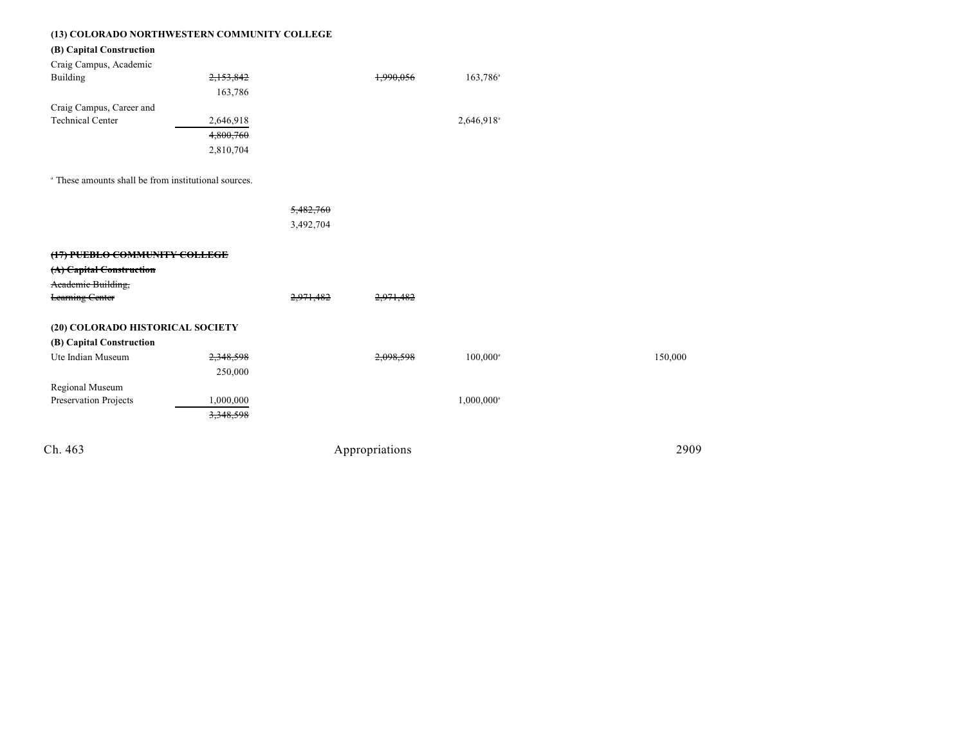| (13) COLORADO NORTHWESTERN COMMUNITY COLLEGE |  |
|----------------------------------------------|--|
|----------------------------------------------|--|

## **(B) Capital Construction**

| Craig Campus, Academic   |           |           |                        |
|--------------------------|-----------|-----------|------------------------|
| Building                 | 2,153,842 | 1,990,056 | $163,786$ <sup>a</sup> |
|                          | 163,786   |           |                        |
| Craig Campus, Career and |           |           |                        |
| <b>Technical Center</b>  | 2,646,918 |           | 2,646,918 <sup>a</sup> |
|                          | 4,800,760 |           |                        |
|                          | 2,810,704 |           |                        |

<sup>a</sup> These amounts shall be from institutional sources.

|                                  |           | 5,482,760 |           |                          |         |
|----------------------------------|-----------|-----------|-----------|--------------------------|---------|
|                                  |           | 3,492,704 |           |                          |         |
|                                  |           |           |           |                          |         |
| (17) PUEBLO COMMUNITY COLLEGE    |           |           |           |                          |         |
| (A) Capital Construction         |           |           |           |                          |         |
| Academic Building,               |           |           |           |                          |         |
| <b>Learning Center</b>           |           | 2,971,482 | 2,971,482 |                          |         |
|                                  |           |           |           |                          |         |
| (20) COLORADO HISTORICAL SOCIETY |           |           |           |                          |         |
| (B) Capital Construction         |           |           |           |                          |         |
| Ute Indian Museum                | 2,348,598 |           | 2,098,598 | $100,000^{\circ}$        | 150,000 |
|                                  | 250,000   |           |           |                          |         |
| Regional Museum                  |           |           |           |                          |         |
| Preservation Projects            | 1,000,000 |           |           | $1,000,000$ <sup>a</sup> |         |
|                                  | 3,348,598 |           |           |                          |         |
|                                  |           |           |           |                          |         |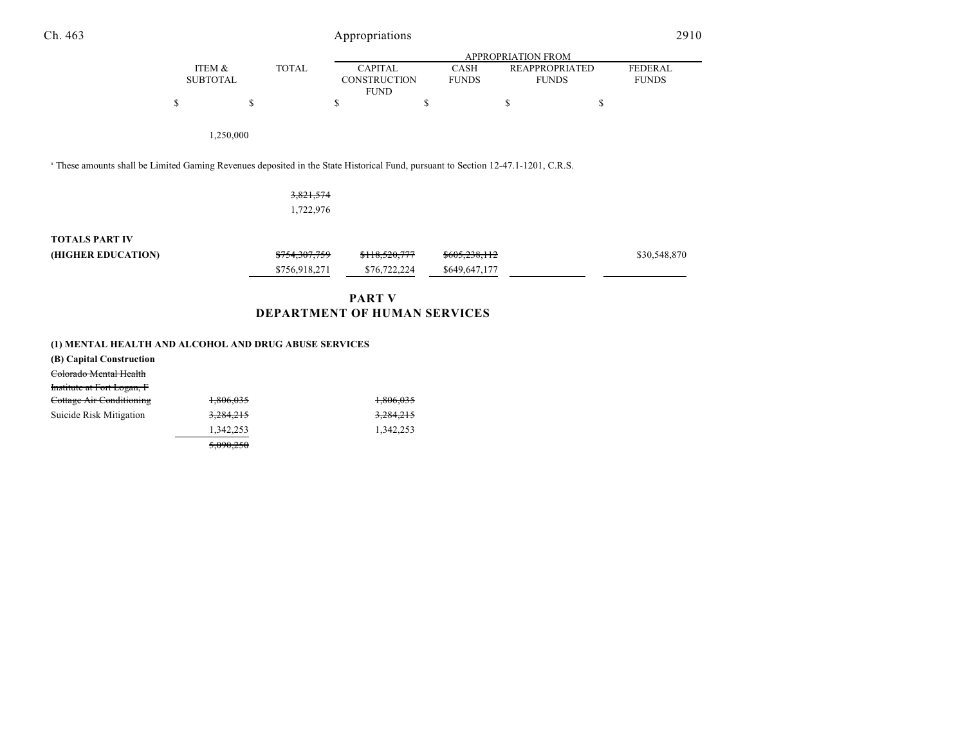| Ch. 463                                                                                                                                      |                           | Appropriations            |              |                                                      |                             |                                       |    | 2910                    |  |
|----------------------------------------------------------------------------------------------------------------------------------------------|---------------------------|---------------------------|--------------|------------------------------------------------------|-----------------------------|---------------------------------------|----|-------------------------|--|
|                                                                                                                                              |                           | <b>APPROPRIATION FROM</b> |              |                                                      |                             |                                       |    |                         |  |
|                                                                                                                                              | ITEM &<br><b>SUBTOTAL</b> |                           | <b>TOTAL</b> | <b>CAPITAL</b><br><b>CONSTRUCTION</b><br><b>FUND</b> | <b>CASH</b><br><b>FUNDS</b> | <b>REAPPROPRIATED</b><br><b>FUNDS</b> |    | FEDERAL<br><b>FUNDS</b> |  |
|                                                                                                                                              | \$                        | \$                        |              | \$                                                   | \$                          | \$                                    | \$ |                         |  |
|                                                                                                                                              |                           | 1,250,000                 |              |                                                      |                             |                                       |    |                         |  |
| <sup>a</sup> These amounts shall be Limited Gaming Revenues deposited in the State Historical Fund, pursuant to Section 12-47.1-1201, C.R.S. |                           |                           |              |                                                      |                             |                                       |    |                         |  |
|                                                                                                                                              |                           |                           | 3,821,574    |                                                      |                             |                                       |    |                         |  |

| <b>TOTALS PART IV</b> |               |               |                          |              |
|-----------------------|---------------|---------------|--------------------------|--------------|
| (HIGHER EDUCATION)    | \$754,307,759 | \$118,520,777 | <del>\$605,238,112</del> | \$30,548,870 |
|                       | \$756,918,271 | \$76,722,224  | \$649,647,177            |              |
|                       |               |               |                          |              |

1,722,976

# **PART V DEPARTMENT OF HUMAN SERVICES**

| (1) MENTAL HEALTH AND ALCOHOL AND DRUG ABUSE SERVICES |  |
|-------------------------------------------------------|--|
|-------------------------------------------------------|--|

| (B) Capital Construction          |           |           |
|-----------------------------------|-----------|-----------|
| Colorado Mental Health            |           |           |
| <b>Institute at Fort Logan, F</b> |           |           |
| Cottage Air Conditioning          | 1.806.035 | 1,806,035 |
| Suicide Risk Mitigation           | 3,284,215 | 3,284,215 |
|                                   | 1,342,253 | 1.342.253 |
|                                   | 5.090.250 |           |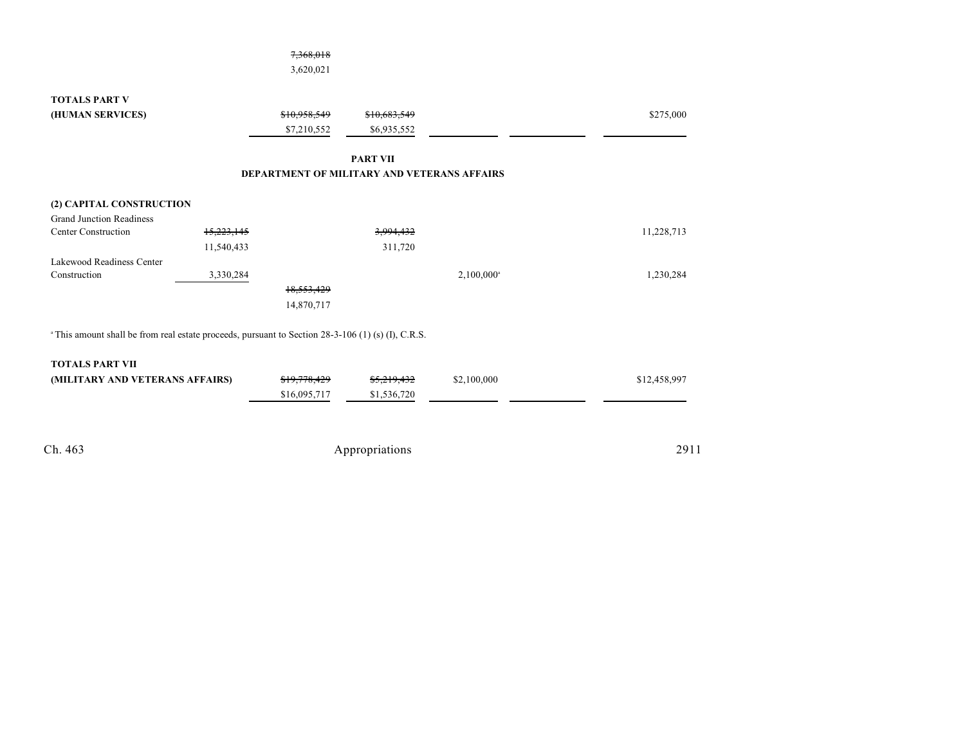|                                                                                                               |                | 7,368,018                                   |                 |                        |              |
|---------------------------------------------------------------------------------------------------------------|----------------|---------------------------------------------|-----------------|------------------------|--------------|
|                                                                                                               |                | 3,620,021                                   |                 |                        |              |
| <b>TOTALS PART V</b>                                                                                          |                |                                             |                 |                        |              |
| (HUMAN SERVICES)                                                                                              |                | \$10.958.549                                | \$10,683,549    |                        | \$275,000    |
|                                                                                                               |                | \$7,210,552                                 | \$6,935,552     |                        |              |
|                                                                                                               |                |                                             | <b>PART VII</b> |                        |              |
|                                                                                                               |                | DEPARTMENT OF MILITARY AND VETERANS AFFAIRS |                 |                        |              |
| (2) CAPITAL CONSTRUCTION                                                                                      |                |                                             |                 |                        |              |
| <b>Grand Junction Readiness</b>                                                                               |                |                                             |                 |                        |              |
| <b>Center Construction</b>                                                                                    | 15,223,145     |                                             | 3,994,432       |                        | 11,228,713   |
|                                                                                                               | 11,540,433     |                                             | 311,720         |                        |              |
| Lakewood Readiness Center                                                                                     |                |                                             |                 |                        |              |
| Construction                                                                                                  | 3,330,284      |                                             |                 | 2,100,000 <sup>a</sup> | 1,230,284    |
|                                                                                                               |                | 18,553,429                                  |                 |                        |              |
|                                                                                                               |                | 14,870,717                                  |                 |                        |              |
| <sup>a</sup> This amount shall be from real estate proceeds, pursuant to Section 28-3-106 (1) (s) (I), C.R.S. |                |                                             |                 |                        |              |
| <b>TOTALS PART VII</b>                                                                                        |                |                                             |                 |                        |              |
| (MILITARY AND VETERANS AFFAIRS)                                                                               |                | \$19,778,429                                | \$5,219,432     | \$2,100,000            | \$12,458,997 |
|                                                                                                               |                | \$16,095,717                                | \$1,536,720     |                        |              |
|                                                                                                               |                |                                             |                 |                        |              |
| Ch. 463                                                                                                       | Appropriations |                                             |                 |                        | 2911         |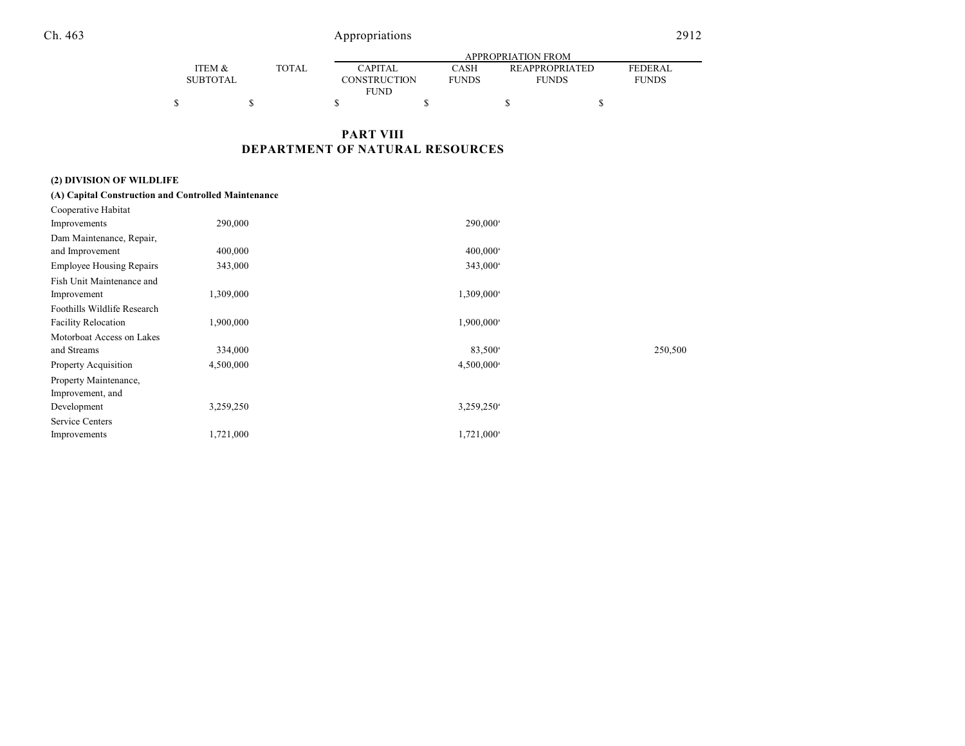|                   |  |              | APPROPRIATION FROM  |              |                       |                |  |  |  |
|-------------------|--|--------------|---------------------|--------------|-----------------------|----------------|--|--|--|
| <b>ITEM &amp;</b> |  | <b>TOTAL</b> | <b>CAPITAL</b>      | CASH         | <b>REAPPROPRIATED</b> | <b>FEDERAL</b> |  |  |  |
| <b>SUBTOTAL</b>   |  |              | <b>CONSTRUCTION</b> | <b>FUNDS</b> | <b>FUNDS</b>          | <b>FUNDS</b>   |  |  |  |
| FUND              |  |              |                     |              |                       |                |  |  |  |
|                   |  |              |                     |              |                       |                |  |  |  |

# **PART VIII DEPARTMENT OF NATURAL RESOURCES**

# **(2) DIVISION OF WILDLIFE**

| (A) Capital Construction and Controlled Maintenance |           |                          |         |
|-----------------------------------------------------|-----------|--------------------------|---------|
| Cooperative Habitat                                 |           |                          |         |
| Improvements                                        | 290,000   | 290,000 <sup>a</sup>     |         |
| Dam Maintenance, Repair,                            |           |                          |         |
| and Improvement                                     | 400,000   | 400,000 <sup>a</sup>     |         |
| <b>Employee Housing Repairs</b>                     | 343,000   | 343,000 <sup>a</sup>     |         |
| Fish Unit Maintenance and                           |           |                          |         |
| Improvement                                         | 1,309,000 | 1,309,000 <sup>a</sup>   |         |
| Foothills Wildlife Research                         |           |                          |         |
| <b>Facility Relocation</b>                          | 1,900,000 | 1,900,000 <sup>a</sup>   |         |
| Motorboat Access on Lakes                           |           |                          |         |
| and Streams                                         | 334,000   | $83,500^{\circ}$         | 250,500 |
| Property Acquisition                                | 4,500,000 | 4,500,000 <sup>a</sup>   |         |
| Property Maintenance,                               |           |                          |         |
| Improvement, and                                    |           |                          |         |
| Development                                         | 3,259,250 | $3,259,250$ <sup>a</sup> |         |
| Service Centers                                     |           |                          |         |
| Improvements                                        | 1,721,000 | 1,721,000 <sup>a</sup>   |         |
|                                                     |           |                          |         |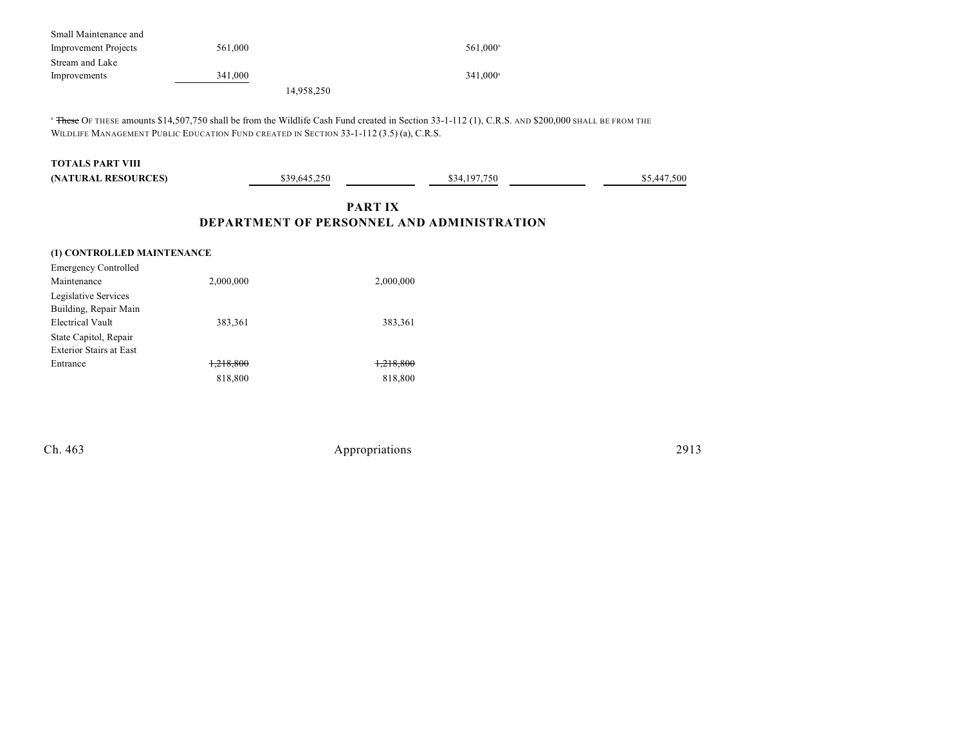| Small Maintenance and       |            |                      |
|-----------------------------|------------|----------------------|
| <b>Improvement Projects</b> | 561,000    | 561.000 <sup>a</sup> |
| Stream and Lake             |            |                      |
| Improvements                | 341,000    | $341.000^{\circ}$    |
|                             | 14,958,250 |                      |

<sup>a</sup> These OF THESE amounts \$14,507,750 shall be from the Wildlife Cash Fund created in Section 33-1-112 (1), C.R.S. AND \$200,000 SHALL BE FROM THE WILDLIFE MANAGEMENT PUBLIC EDUCATION FUND CREATED IN SECTION 33-1-112 (3.5) (a), C.R.S.

#### **TOTALS PART VIII**

| (NATURAL RESOURCES) | \$39,645,250 | \$34,197,750 | \$5,447,500 |
|---------------------|--------------|--------------|-------------|
|                     |              |              |             |

## **PART IX DEPARTMENT OF PERSONNEL AND ADMINISTRATION**

## **(1) CONTROLLED MAINTENANCE** Emergency Controlled Maintenance 2,000,000 2,000,000 2,000,000 Legislative Services Building, Repair Main Electrical Vault 383,361 383,361 State Capitol, Repair Exterior Stairs at East Entrance 1,218,800 1,218,800 818,800 818,800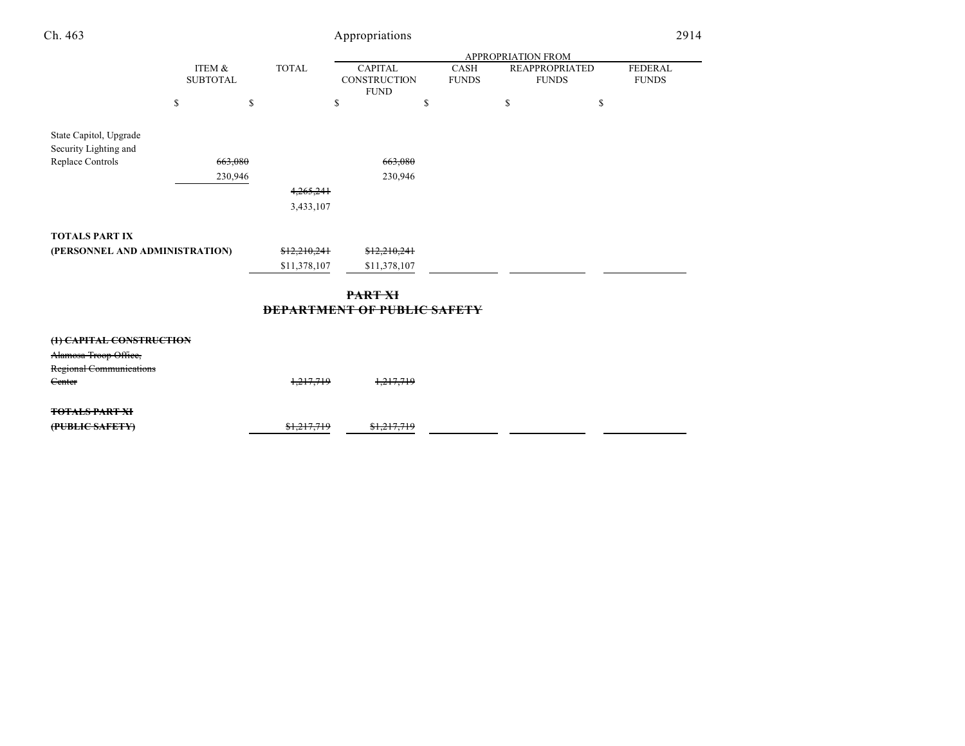|                          |                                                             | Appropriations |                                                                                                              |                                                                                            | 2914                                                        |
|--------------------------|-------------------------------------------------------------|----------------|--------------------------------------------------------------------------------------------------------------|--------------------------------------------------------------------------------------------|-------------------------------------------------------------|
|                          |                                                             |                |                                                                                                              |                                                                                            |                                                             |
|                          | <b>TOTAL</b>                                                | <b>CAPITAL</b> | CASH<br><b>FUNDS</b>                                                                                         |                                                                                            | <b>FEDERAL</b><br><b>FUNDS</b>                              |
| \$<br>\$                 |                                                             | \$             | \$                                                                                                           | \$                                                                                         | \$                                                          |
|                          |                                                             |                |                                                                                                              |                                                                                            |                                                             |
| 663,080                  |                                                             | 663,080        |                                                                                                              |                                                                                            |                                                             |
| 230,946                  |                                                             |                |                                                                                                              |                                                                                            |                                                             |
|                          |                                                             |                |                                                                                                              |                                                                                            |                                                             |
|                          |                                                             |                |                                                                                                              |                                                                                            |                                                             |
|                          |                                                             |                |                                                                                                              |                                                                                            |                                                             |
|                          |                                                             |                |                                                                                                              |                                                                                            |                                                             |
|                          |                                                             | \$11,378,107   |                                                                                                              |                                                                                            |                                                             |
|                          |                                                             |                |                                                                                                              |                                                                                            |                                                             |
|                          |                                                             |                |                                                                                                              |                                                                                            |                                                             |
|                          |                                                             |                |                                                                                                              |                                                                                            |                                                             |
|                          |                                                             |                |                                                                                                              |                                                                                            |                                                             |
|                          |                                                             |                |                                                                                                              |                                                                                            |                                                             |
|                          |                                                             |                |                                                                                                              |                                                                                            |                                                             |
|                          |                                                             |                |                                                                                                              |                                                                                            |                                                             |
|                          |                                                             | \$1,217,719    |                                                                                                              |                                                                                            |                                                             |
| (1) CAPITAL CONSTRUCTION | ITEM &<br><b>SUBTOTAL</b><br>(PERSONNEL AND ADMINISTRATION) |                | <b>FUND</b><br>4,265,241<br>3,433,107<br>\$12,210,241<br>\$11,378,107<br>PART XI<br>1,217,719<br>\$1,217,719 | CONSTRUCTION<br>230,946<br>\$12,210,241<br><b>DEPARTMENT OF PUBLIC SAFETY</b><br>1,217,719 | APPROPRIATION FROM<br><b>REAPPROPRIATED</b><br><b>FUNDS</b> |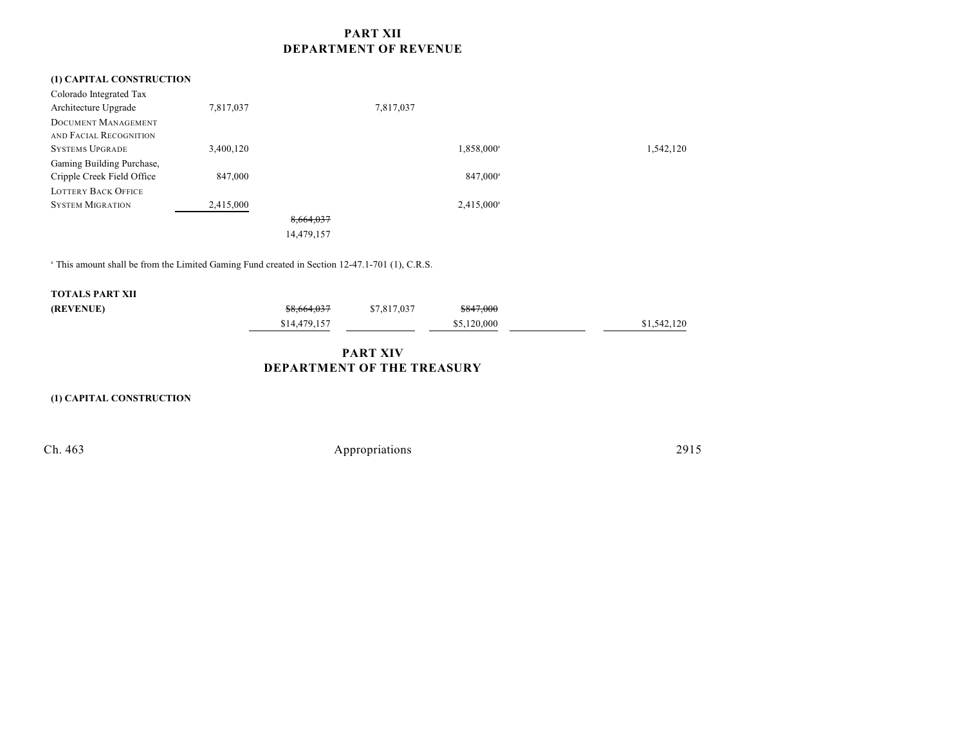## **PART XII DEPARTMENT OF REVENUE**

# **(1) CAPITAL CONSTRUCTION** Colorado Integrated Tax Architecture Upgrade 7,817,037 7,817,037 DOCUMENT MANAGEMENT AND FACIAL RECOGNITION SYSTEMS UPGRADE 3,400,120 1,542,120 1,558,000 1,542,120 Gaming Building Purchase, Cripple Creek Field Office 847,000 847,000 847,000 LOTTERY BACK OFFICE SYSTEM MIGRATION 2,415,000 2,415,000 2,415,000 2,415,000 2,415,000 2,415,000 2,415,000 2,415,000 2,415,000 2,415,000 2,415,000 2,415,000 2,415,000 2,415,000 2,415,000 2,415,000 2,415,000 2,415,000 2,415,000 2,415,000 2,415 8,664,037 14,479,157

<sup>a</sup> This amount shall be from the Limited Gaming Fund created in Section 12-47.1-701 (1), C.R.S.

| TOTALS PART XII |              |             |             |             |
|-----------------|--------------|-------------|-------------|-------------|
| (REVENUE)       | \$8,664,037  | \$7,817,037 | \$847,000   |             |
|                 | \$14,479,157 |             | \$5,120,000 | \$1,542,120 |

# **PART XIV DEPARTMENT OF THE TREASURY**

**(1) CAPITAL CONSTRUCTION**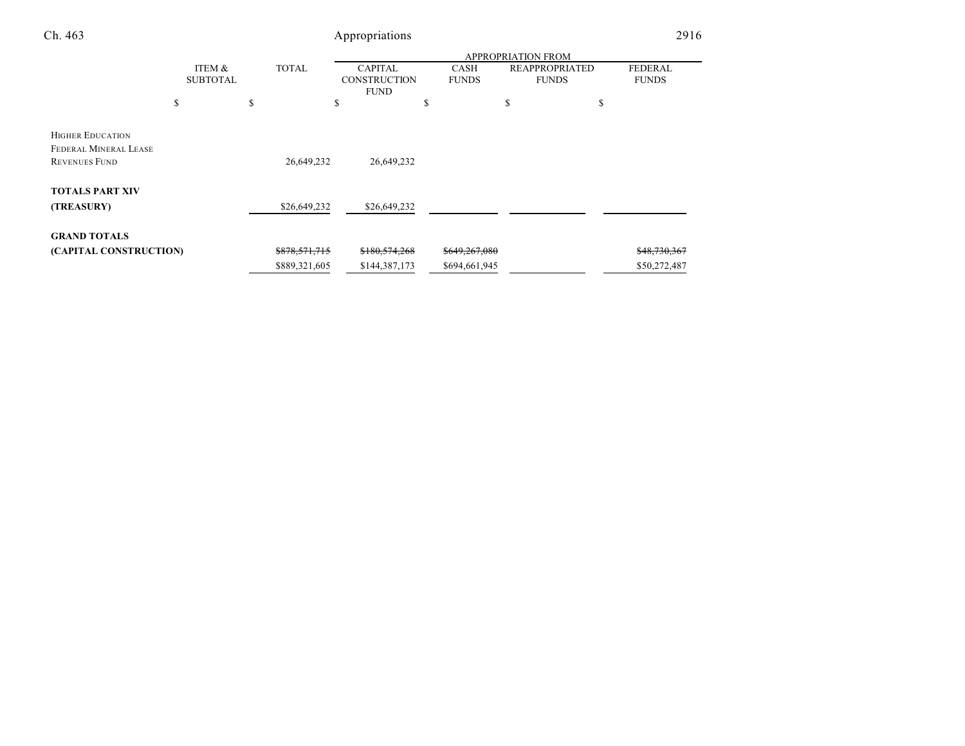| Ch. 463                                                                  | Appropriations            |   |               |                                                      |                      |                                       |                         | 2916 |  |
|--------------------------------------------------------------------------|---------------------------|---|---------------|------------------------------------------------------|----------------------|---------------------------------------|-------------------------|------|--|
|                                                                          |                           |   |               |                                                      |                      | <b>APPROPRIATION FROM</b>             |                         |      |  |
|                                                                          | ITEM &<br><b>SUBTOTAL</b> |   | <b>TOTAL</b>  | <b>CAPITAL</b><br><b>CONSTRUCTION</b><br><b>FUND</b> | CASH<br><b>FUNDS</b> | <b>REAPPROPRIATED</b><br><b>FUNDS</b> | FEDERAL<br><b>FUNDS</b> |      |  |
|                                                                          | S                         | S |               | ¢<br>ъ                                               | \$                   | \$                                    | S                       |      |  |
| <b>HIGHER EDUCATION</b><br>FEDERAL MINERAL LEASE<br><b>REVENUES FUND</b> |                           |   | 26,649,232    | 26,649,232                                           |                      |                                       |                         |      |  |
| <b>TOTALS PART XIV</b><br>(TREASURY)                                     |                           |   | \$26,649,232  | \$26,649,232                                         |                      |                                       |                         |      |  |
| <b>GRAND TOTALS</b>                                                      |                           |   |               |                                                      |                      |                                       |                         |      |  |
| (CAPITAL CONSTRUCTION)                                                   |                           |   | \$878,571,715 | \$180,574,268                                        | \$649,267,080        |                                       | \$48,730,367            |      |  |
|                                                                          |                           |   | \$889,321,605 | \$144,387,173                                        | \$694,661,945        |                                       | \$50,272,487            |      |  |